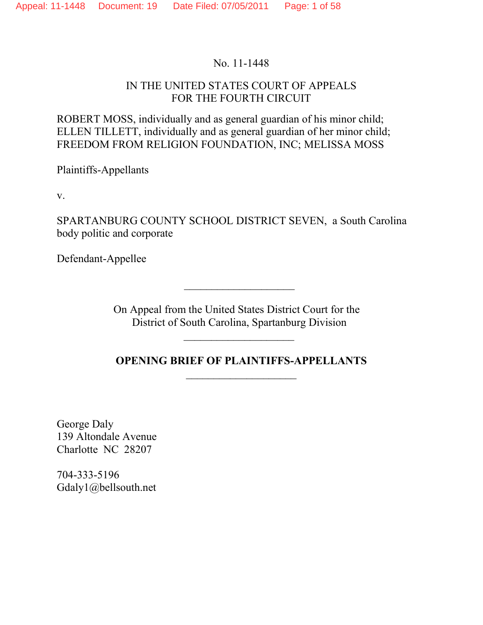### No. 11-1448

### IN THE UNITED STATES COURT OF APPEALS FOR THE FOURTH CIRCUIT

ROBERT MOSS, individually and as general guardian of his minor child; ELLEN TILLETT, individually and as general guardian of her minor child; FREEDOM FROM RELIGION FOUNDATION, INC; MELISSA MOSS

Plaintiffs-Appellants

v.

SPARTANBURG COUNTY SCHOOL DISTRICT SEVEN, a South Carolina body politic and corporate

Defendant-Appellee

On Appeal from the United States District Court for the District of South Carolina, Spartanburg Division

\_\_\_\_\_\_\_\_\_\_\_\_\_\_\_\_\_\_\_\_

\_\_\_\_\_\_\_\_\_\_\_\_\_\_\_\_\_\_\_\_

**OPENING BRIEF OF PLAINTIFFS-APPELLANTS**  $\overline{\phantom{a}}$  , where  $\overline{\phantom{a}}$ 

George Daly 139 Altondale Avenue Charlotte NC 28207

704-333-5196 Gdaly1@bellsouth.net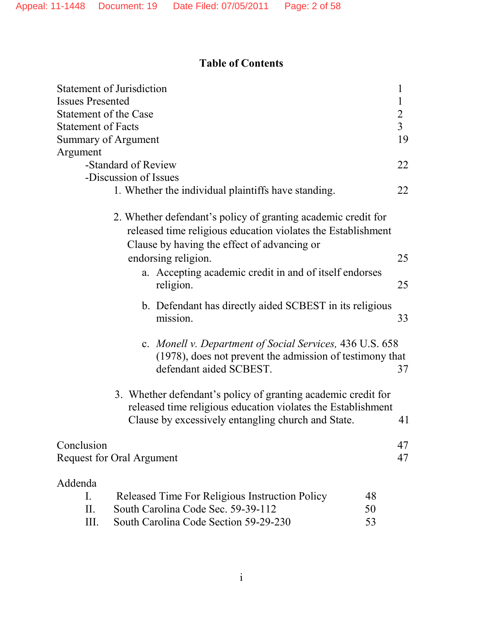## **Table of Contents**

| <b>Statement of Jurisdiction</b> |                                                                                                                                                                                     | $\mathbf 1$    |
|----------------------------------|-------------------------------------------------------------------------------------------------------------------------------------------------------------------------------------|----------------|
| <b>Issues Presented</b>          |                                                                                                                                                                                     | $\mathbf{1}$   |
| Statement of the Case            |                                                                                                                                                                                     | $\overline{2}$ |
| <b>Statement of Facts</b>        |                                                                                                                                                                                     | $\overline{3}$ |
| Summary of Argument              |                                                                                                                                                                                     | 19             |
| Argument                         |                                                                                                                                                                                     |                |
|                                  | -Standard of Review                                                                                                                                                                 | 22             |
|                                  | -Discussion of Issues                                                                                                                                                               |                |
|                                  | 1. Whether the individual plaintiffs have standing.                                                                                                                                 | 22             |
|                                  | 2. Whether defendant's policy of granting academic credit for<br>released time religious education violates the Establishment<br>Clause by having the effect of advancing or        |                |
|                                  | endorsing religion.                                                                                                                                                                 | 25             |
|                                  | a. Accepting academic credit in and of itself endorses<br>religion.                                                                                                                 | 25             |
|                                  | b. Defendant has directly aided SCBEST in its religious<br>mission.                                                                                                                 | 33             |
|                                  | c. Monell v. Department of Social Services, 436 U.S. 658<br>(1978), does not prevent the admission of testimony that<br>defendant aided SCBEST.                                     | 37             |
|                                  | 3. Whether defendant's policy of granting academic credit for<br>released time religious education violates the Establishment<br>Clause by excessively entangling church and State. | 41             |
| Conclusion                       | Request for Oral Argument                                                                                                                                                           | 47<br>47       |
| Addenda<br>I.<br>II.<br>Ш.       | Released Time For Religious Instruction Policy<br>48<br>South Carolina Code Sec. 59-39-112<br>50<br>South Carolina Code Section 59-29-230<br>53                                     |                |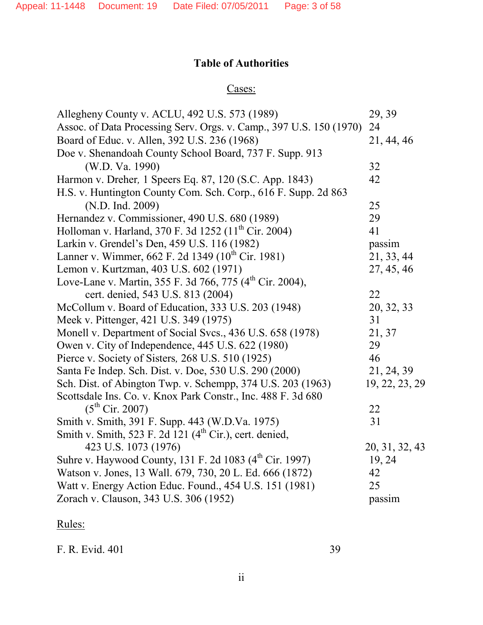## **Table of Authorities**

## Cases:

| Allegheny County v. ACLU, 492 U.S. 573 (1989)                        | 29, 39         |
|----------------------------------------------------------------------|----------------|
| Assoc. of Data Processing Serv. Orgs. v. Camp., 397 U.S. 150 (1970)  | 24             |
| Board of Educ. v. Allen, 392 U.S. 236 (1968)                         | 21, 44, 46     |
| Doe v. Shenandoah County School Board, 737 F. Supp. 913              |                |
| (W.D. Va. 1990)                                                      | 32             |
| Harmon v. Dreher, 1 Speers Eq. 87, 120 (S.C. App. 1843)              | 42             |
| H.S. v. Huntington County Com. Sch. Corp., 616 F. Supp. 2d 863       |                |
| (N.D. Ind. 2009)                                                     | 25             |
| Hernandez v. Commissioner, 490 U.S. 680 (1989)                       | 29             |
| Holloman v. Harland, 370 F. 3d 1252 (11 <sup>th</sup> Cir. 2004)     | 41             |
| Larkin v. Grendel's Den, 459 U.S. 116 (1982)                         | passim         |
| Lanner v. Wimmer, 662 F. 2d 1349 (10 <sup>th</sup> Cir. 1981)        | 21, 33, 44     |
| Lemon v. Kurtzman, 403 U.S. 602 (1971)                               | 27, 45, 46     |
| Love-Lane v. Martin, 355 F. 3d 766, 775 (4 <sup>th</sup> Cir. 2004), |                |
| cert. denied, 543 U.S. 813 (2004)                                    | 22             |
| McCollum v. Board of Education, 333 U.S. 203 (1948)                  | 20, 32, 33     |
| Meek v. Pittenger, 421 U.S. 349 (1975)                               | 31             |
| Monell v. Department of Social Svcs., 436 U.S. 658 (1978)            | 21, 37         |
| Owen v. City of Independence, 445 U.S. 622 (1980)                    | 29             |
| Pierce v. Society of Sisters, 268 U.S. 510 (1925)                    | 46             |
| Santa Fe Indep. Sch. Dist. v. Doe, 530 U.S. 290 (2000)               | 21, 24, 39     |
| Sch. Dist. of Abington Twp. v. Schempp, 374 U.S. 203 (1963)          | 19, 22, 23, 29 |
| Scottsdale Ins. Co. v. Knox Park Constr., Inc. 488 F. 3d 680         |                |
| $(5^{th}$ Cir. 2007)                                                 | 22             |
| Smith v. Smith, 391 F. Supp. 443 (W.D.Va. 1975)                      | 31             |
| Smith v. Smith, 523 F. 2d 121 $(4th Cir.)$ , cert. denied,           |                |
| 423 U.S. 1073 (1976)                                                 | 20, 31, 32, 43 |
| Suhre v. Haywood County, 131 F. 2d 1083 (4 <sup>th</sup> Cir. 1997)  | 19, 24         |
| Watson v. Jones, 13 Wall. 679, 730, 20 L. Ed. 666 (1872)             | 42             |
| Watt v. Energy Action Educ. Found., 454 U.S. 151 (1981)              | 25             |
| Zorach v. Clauson, 343 U.S. 306 (1952)                               | passim         |

# Rules:

F. R. Evid. 401 39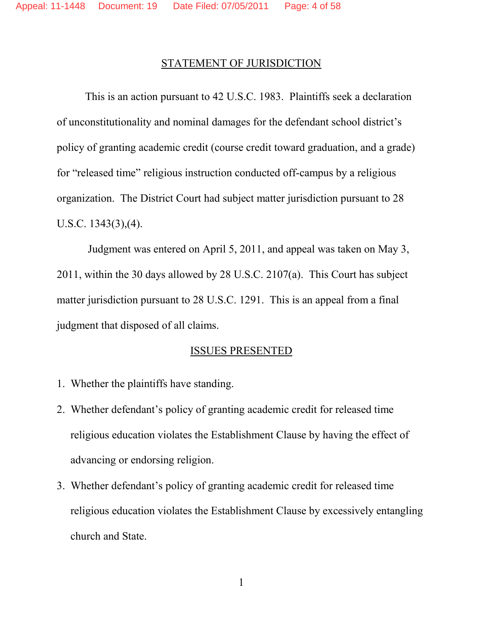### STATEMENT OF JURISDICTION

This is an action pursuant to 42 U.S.C. 1983. Plaintiffs seek a declaration of unconstitutionality and nominal damages for the defendant school district's policy of granting academic credit (course credit toward graduation, and a grade) for "released time" religious instruction conducted off-campus by a religious organization. The District Court had subject matter jurisdiction pursuant to 28 U.S.C. 1343(3),(4).

Judgment was entered on April 5, 2011, and appeal was taken on May 3, 2011, within the 30 days allowed by 28 U.S.C. 2107(a). This Court has subject matter jurisdiction pursuant to 28 U.S.C. 1291. This is an appeal from a final judgment that disposed of all claims.

### ISSUES PRESENTED

- 1. Whether the plaintiffs have standing.
- 2. Whether defendant's policy of granting academic credit for released time religious education violates the Establishment Clause by having the effect of advancing or endorsing religion.
- 3. Whether defendant's policy of granting academic credit for released time religious education violates the Establishment Clause by excessively entangling church and State.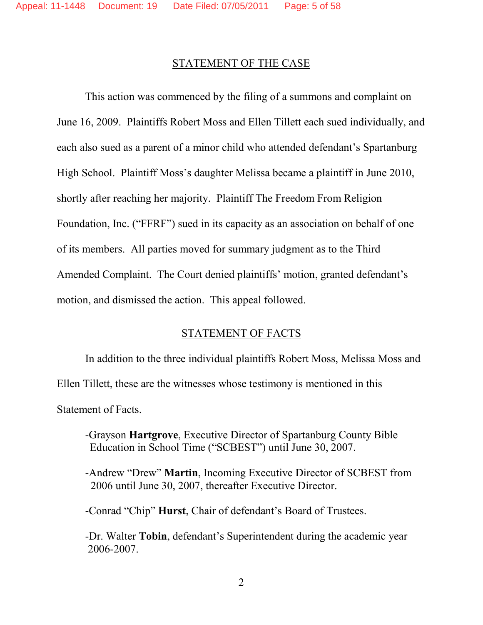#### STATEMENT OF THE CASE

This action was commenced by the filing of a summons and complaint on June 16, 2009. Plaintiffs Robert Moss and Ellen Tillett each sued individually, and each also sued as a parent of a minor child who attended defendant's Spartanburg High School. Plaintiff Moss's daughter Melissa became a plaintiff in June 2010, shortly after reaching her majority. Plaintiff The Freedom From Religion Foundation, Inc. ("FFRF") sued in its capacity as an association on behalf of one of its members. All parties moved for summary judgment as to the Third Amended Complaint. The Court denied plaintiffs' motion, granted defendant's motion, and dismissed the action. This appeal followed.

### STATEMENT OF FACTS

In addition to the three individual plaintiffs Robert Moss, Melissa Moss and Ellen Tillett, these are the witnesses whose testimony is mentioned in this Statement of Facts.

- -Grayson **Hartgrove**, Executive Director of Spartanburg County Bible Education in School Time ("SCBEST") until June 30, 2007.
- -Andrew "Drew" **Martin**, Incoming Executive Director of SCBEST from 2006 until June 30, 2007, thereafter Executive Director.
- -Conrad "Chip" **Hurst**, Chair of defendant's Board of Trustees.
- -Dr. Walter **Tobin**, defendant's Superintendent during the academic year 2006-2007.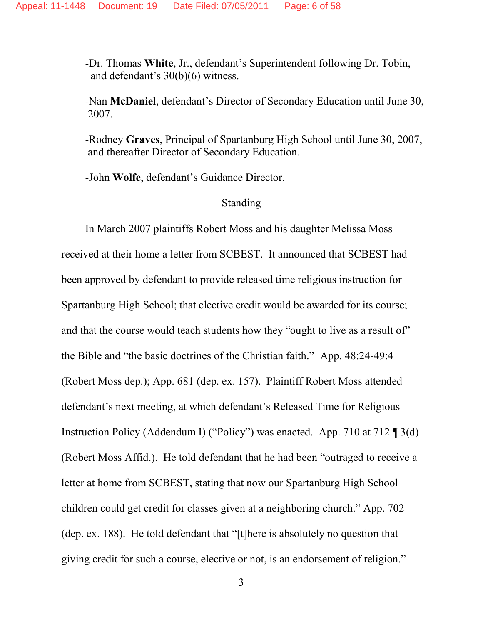-Dr. Thomas **White**, Jr., defendant's Superintendent following Dr. Tobin, and defendant's 30(b)(6) witness.

-Nan **McDaniel**, defendant's Director of Secondary Education until June 30, 2007.

-Rodney **Graves**, Principal of Spartanburg High School until June 30, 2007, and thereafter Director of Secondary Education.

-John **Wolfe**, defendant's Guidance Director.

#### Standing

In March 2007 plaintiffs Robert Moss and his daughter Melissa Moss received at their home a letter from SCBEST. It announced that SCBEST had been approved by defendant to provide released time religious instruction for Spartanburg High School; that elective credit would be awarded for its course; and that the course would teach students how they "ought to live as a result of" the Bible and "the basic doctrines of the Christian faith." App. 48:24-49:4 (Robert Moss dep.); App. 681 (dep. ex. 157). Plaintiff Robert Moss attended defendant's next meeting, at which defendant's Released Time for Religious Instruction Policy (Addendum I) ("Policy") was enacted. App. 710 at 712 ¶ 3(d) (Robert Moss Affid.). He told defendant that he had been "outraged to receive a letter at home from SCBEST, stating that now our Spartanburg High School children could get credit for classes given at a neighboring church." App. 702 (dep. ex. 188). He told defendant that "[t]here is absolutely no question that giving credit for such a course, elective or not, is an endorsement of religion."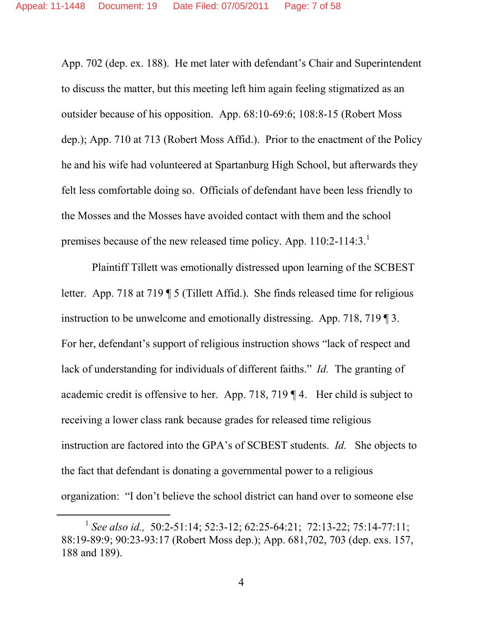App. 702 (dep. ex. 188). He met later with defendant's Chair and Superintendent to discuss the matter, but this meeting left him again feeling stigmatized as an outsider because of his opposition. App. 68:10-69:6; 108:8-15 (Robert Moss dep.); App. 710 at 713 (Robert Moss Affid.). Prior to the enactment of the Policy he and his wife had volunteered at Spartanburg High School, but afterwards they felt less comfortable doing so. Officials of defendant have been less friendly to the Mosses and the Mosses have avoided contact with them and the school premises because of the new released time policy. App. 110:2-114:3.<sup>1</sup>

Plaintiff Tillett was emotionally distressed upon learning of the SCBEST letter. App. 718 at 719 ¶ 5 (Tillett Affid.). She finds released time for religious instruction to be unwelcome and emotionally distressing. App. 718, 719 ¶ 3. For her, defendant's support of religious instruction shows "lack of respect and lack of understanding for individuals of different faiths." *Id.* The granting of academic credit is offensive to her. App. 718, 719 ¶ 4. Her child is subject to receiving a lower class rank because grades for released time religious instruction are factored into the GPA's of SCBEST students. *Id.* She objects to the fact that defendant is donating a governmental power to a religious organization: "I don't believe the school district can hand over to someone else

<sup>1</sup> *See also id.,* 50:2-51:14; 52:3-12; 62:25-64:21; 72:13-22; 75:14-77:11; 88:19-89:9; 90:23-93:17 (Robert Moss dep.); App. 681,702, 703 (dep. exs. 157, 188 and 189).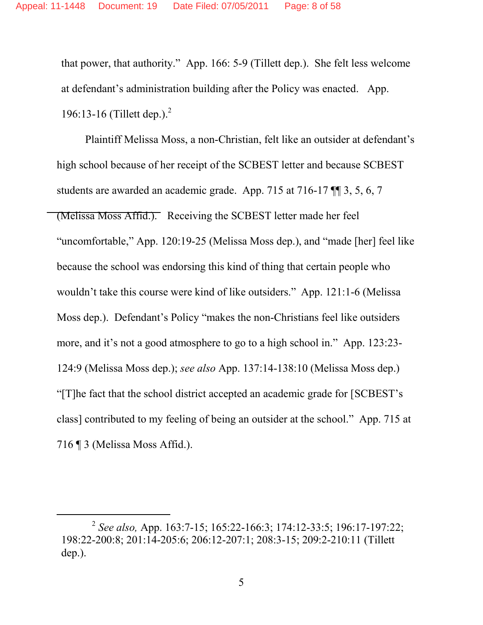that power, that authority." App. 166: 5-9 (Tillett dep.). She felt less welcome at defendant's administration building after the Policy was enacted. App. 196:13-16 (Tillett dep.). 2

Plaintiff Melissa Moss, a non-Christian, felt like an outsider at defendant's high school because of her receipt of the SCBEST letter and because SCBEST students are awarded an academic grade. App. 715 at 716-17 ¶¶ 3, 5, 6, 7 (Melissa Moss Affid.). Receiving the SCBEST letter made her feel "uncomfortable," App. 120:19-25 (Melissa Moss dep.), and "made [her] feel like because the school was endorsing this kind of thing that certain people who wouldn't take this course were kind of like outsiders." App. 121:1-6 (Melissa Moss dep.). Defendant's Policy "makes the non-Christians feel like outsiders more, and it's not a good atmosphere to go to a high school in." App. 123:23- 124:9 (Melissa Moss dep.); *see also* App. 137:14-138:10 (Melissa Moss dep.) "[T]he fact that the school district accepted an academic grade for [SCBEST's class] contributed to my feeling of being an outsider at the school." App. 715 at 716 ¶ 3 (Melissa Moss Affid.).

<sup>2</sup> *See also,* App. 163:7-15; 165:22-166:3; 174:12-33:5; 196:17-197:22; 198:22-200:8; 201:14-205:6; 206:12-207:1; 208:3-15; 209:2-210:11 (Tillett dep.).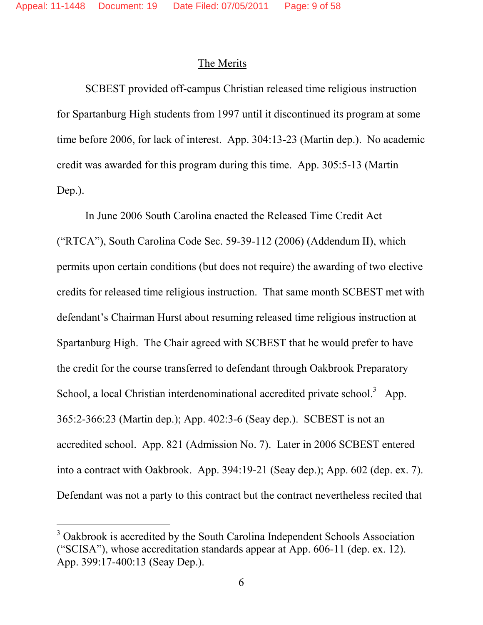#### The Merits

SCBEST provided off-campus Christian released time religious instruction for Spartanburg High students from 1997 until it discontinued its program at some time before 2006, for lack of interest. App. 304:13-23 (Martin dep.). No academic credit was awarded for this program during this time. App. 305:5-13 (Martin Dep.).

In June 2006 South Carolina enacted the Released Time Credit Act ("RTCA"), South Carolina Code Sec. 59-39-112 (2006) (Addendum II), which permits upon certain conditions (but does not require) the awarding of two elective credits for released time religious instruction. That same month SCBEST met with defendant's Chairman Hurst about resuming released time religious instruction at Spartanburg High. The Chair agreed with SCBEST that he would prefer to have the credit for the course transferred to defendant through Oakbrook Preparatory School, a local Christian interdenominational accredited private school.<sup>3</sup> App. 365:2-366:23 (Martin dep.); App. 402:3-6 (Seay dep.). SCBEST is not an accredited school. App. 821 (Admission No. 7). Later in 2006 SCBEST entered into a contract with Oakbrook. App. 394:19-21 (Seay dep.); App. 602 (dep. ex. 7). Defendant was not a party to this contract but the contract nevertheless recited that

<sup>&</sup>lt;sup>3</sup> Oakbrook is accredited by the South Carolina Independent Schools Association ("SCISA"), whose accreditation standards appear at App. 606-11 (dep. ex. 12). App. 399:17-400:13 (Seay Dep.).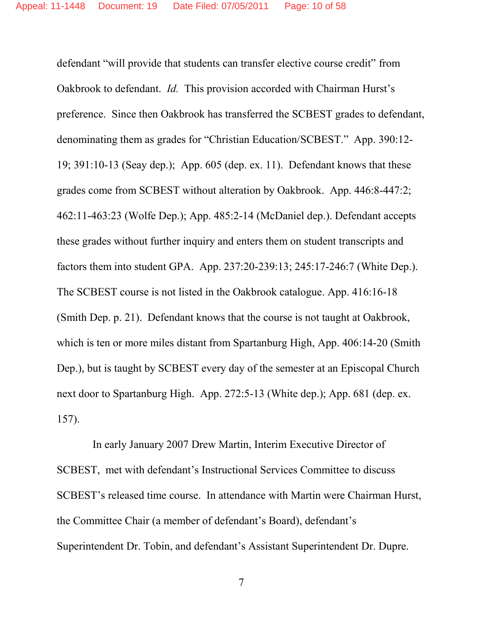defendant "will provide that students can transfer elective course credit" from Oakbrook to defendant. *Id.* This provision accorded with Chairman Hurst's preference. Since then Oakbrook has transferred the SCBEST grades to defendant, denominating them as grades for "Christian Education/SCBEST." App. 390:12- 19; 391:10-13 (Seay dep.); App. 605 (dep. ex. 11). Defendant knows that these grades come from SCBEST without alteration by Oakbrook. App. 446:8-447:2; 462:11-463:23 (Wolfe Dep.); App. 485:2-14 (McDaniel dep.). Defendant accepts these grades without further inquiry and enters them on student transcripts and factors them into student GPA. App. 237:20-239:13; 245:17-246:7 (White Dep.). The SCBEST course is not listed in the Oakbrook catalogue. App. 416:16-18 (Smith Dep. p. 21). Defendant knows that the course is not taught at Oakbrook, which is ten or more miles distant from Spartanburg High, App. 406:14-20 (Smith Dep.), but is taught by SCBEST every day of the semester at an Episcopal Church next door to Spartanburg High. App. 272:5-13 (White dep.); App. 681 (dep. ex. 157).

In early January 2007 Drew Martin, Interim Executive Director of SCBEST, met with defendant's Instructional Services Committee to discuss SCBEST's released time course. In attendance with Martin were Chairman Hurst, the Committee Chair (a member of defendant's Board), defendant's Superintendent Dr. Tobin, and defendant's Assistant Superintendent Dr. Dupre.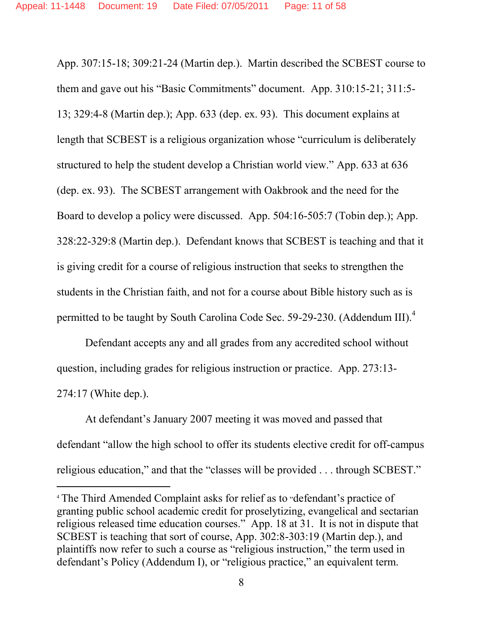App. 307:15-18; 309:21-24 (Martin dep.). Martin described the SCBEST course to them and gave out his "Basic Commitments" document. App. 310:15-21; 311:5- 13; 329:4-8 (Martin dep.); App. 633 (dep. ex. 93). This document explains at length that SCBEST is a religious organization whose "curriculum is deliberately structured to help the student develop a Christian world view." App. 633 at 636 (dep. ex. 93). The SCBEST arrangement with Oakbrook and the need for the Board to develop a policy were discussed. App. 504:16-505:7 (Tobin dep.); App. 328:22-329:8 (Martin dep.). Defendant knows that SCBEST is teaching and that it is giving credit for a course of religious instruction that seeks to strengthen the students in the Christian faith, and not for a course about Bible history such as is permitted to be taught by South Carolina Code Sec. 59-29-230. (Addendum III).<sup>4</sup>

Defendant accepts any and all grades from any accredited school without question, including grades for religious instruction or practice. App. 273:13- 274:17 (White dep.).

At defendant's January 2007 meeting it was moved and passed that defendant "allow the high school to offer its students elective credit for off-campus religious education," and that the "classes will be provided . . . through SCBEST."

<sup>4</sup> The Third Amended Complaint asks for relief as to "defendant's practice of granting public school academic credit for proselytizing, evangelical and sectarian religious released time education courses." App. 18 at 31. It is not in dispute that SCBEST is teaching that sort of course, App. 302:8-303:19 (Martin dep.), and plaintiffs now refer to such a course as "religious instruction," the term used in defendant's Policy (Addendum I), or "religious practice," an equivalent term.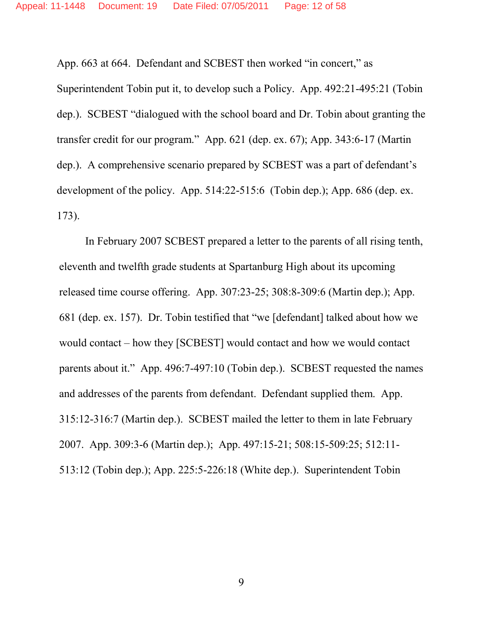App. 663 at 664. Defendant and SCBEST then worked "in concert," as

Superintendent Tobin put it, to develop such a Policy. App. 492:21-495:21 (Tobin dep.). SCBEST "dialogued with the school board and Dr. Tobin about granting the transfer credit for our program." App. 621 (dep. ex. 67); App. 343:6-17 (Martin dep.). A comprehensive scenario prepared by SCBEST was a part of defendant's development of the policy. App. 514:22-515:6 (Tobin dep.); App. 686 (dep. ex. 173).

In February 2007 SCBEST prepared a letter to the parents of all rising tenth, eleventh and twelfth grade students at Spartanburg High about its upcoming released time course offering. App. 307:23-25; 308:8-309:6 (Martin dep.); App. 681 (dep. ex. 157). Dr. Tobin testified that "we [defendant] talked about how we would contact – how they [SCBEST] would contact and how we would contact parents about it." App. 496:7-497:10 (Tobin dep.). SCBEST requested the names and addresses of the parents from defendant. Defendant supplied them. App. 315:12-316:7 (Martin dep.). SCBEST mailed the letter to them in late February 2007. App. 309:3-6 (Martin dep.); App. 497:15-21; 508:15-509:25; 512:11- 513:12 (Tobin dep.); App. 225:5-226:18 (White dep.). Superintendent Tobin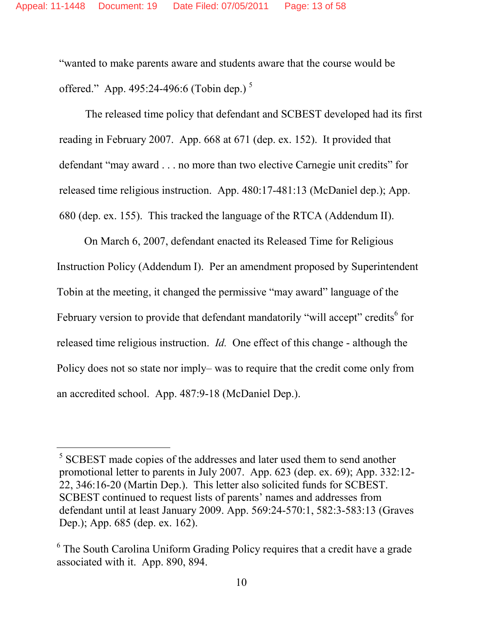"wanted to make parents aware and students aware that the course would be offered." App. 495:24-496:6 (Tobin dep.)<sup>5</sup>

The released time policy that defendant and SCBEST developed had its first reading in February 2007. App. 668 at 671 (dep. ex. 152). It provided that defendant "may award . . . no more than two elective Carnegie unit credits" for released time religious instruction. App. 480:17-481:13 (McDaniel dep.); App. 680 (dep. ex. 155). This tracked the language of the RTCA (Addendum II).

On March 6, 2007, defendant enacted its Released Time for Religious Instruction Policy (Addendum I). Per an amendment proposed by Superintendent Tobin at the meeting, it changed the permissive "may award" language of the February version to provide that defendant mandatorily "will accept" credits<sup>6</sup> for released time religious instruction. *Id.* One effect of this change - although the Policy does not so state nor imply– was to require that the credit come only from an accredited school. App. 487:9-18 (McDaniel Dep.).

<sup>&</sup>lt;sup>5</sup> SCBEST made copies of the addresses and later used them to send another promotional letter to parents in July 2007. App. 623 (dep. ex. 69); App. 332:12- 22, 346:16-20 (Martin Dep.). This letter also solicited funds for SCBEST. SCBEST continued to request lists of parents' names and addresses from defendant until at least January 2009. App. 569:24-570:1, 582:3-583:13 (Graves Dep.); App. 685 (dep. ex. 162).

<sup>&</sup>lt;sup>6</sup> The South Carolina Uniform Grading Policy requires that a credit have a grade associated with it. App. 890, 894.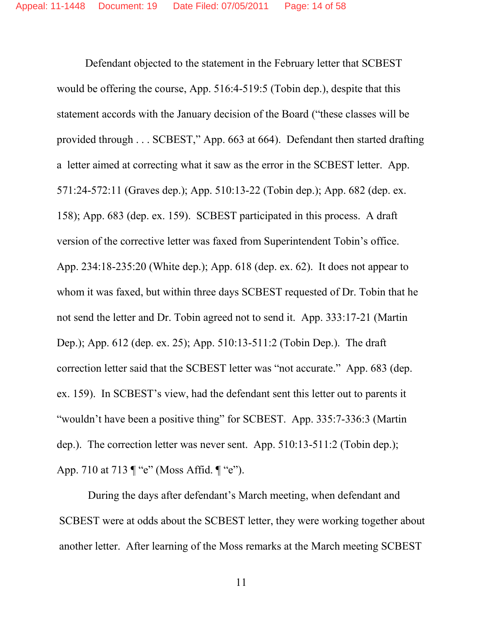Defendant objected to the statement in the February letter that SCBEST would be offering the course, App. 516:4-519:5 (Tobin dep.), despite that this statement accords with the January decision of the Board ("these classes will be provided through . . . SCBEST," App. 663 at 664). Defendant then started drafting a letter aimed at correcting what it saw as the error in the SCBEST letter. App. 571:24-572:11 (Graves dep.); App. 510:13-22 (Tobin dep.); App. 682 (dep. ex. 158); App. 683 (dep. ex. 159). SCBEST participated in this process. A draft version of the corrective letter was faxed from Superintendent Tobin's office. App. 234:18-235:20 (White dep.); App. 618 (dep. ex. 62). It does not appear to whom it was faxed, but within three days SCBEST requested of Dr. Tobin that he not send the letter and Dr. Tobin agreed not to send it. App. 333:17-21 (Martin Dep.); App. 612 (dep. ex. 25); App. 510:13-511:2 (Tobin Dep.). The draft correction letter said that the SCBEST letter was "not accurate." App. 683 (dep. ex. 159). In SCBEST's view, had the defendant sent this letter out to parents it "wouldn't have been a positive thing" for SCBEST. App. 335:7-336:3 (Martin dep.). The correction letter was never sent. App. 510:13-511:2 (Tobin dep.); App. 710 at 713 ¶ "e" (Moss Affid. ¶ "e").

During the days after defendant's March meeting, when defendant and SCBEST were at odds about the SCBEST letter, they were working together about another letter. After learning of the Moss remarks at the March meeting SCBEST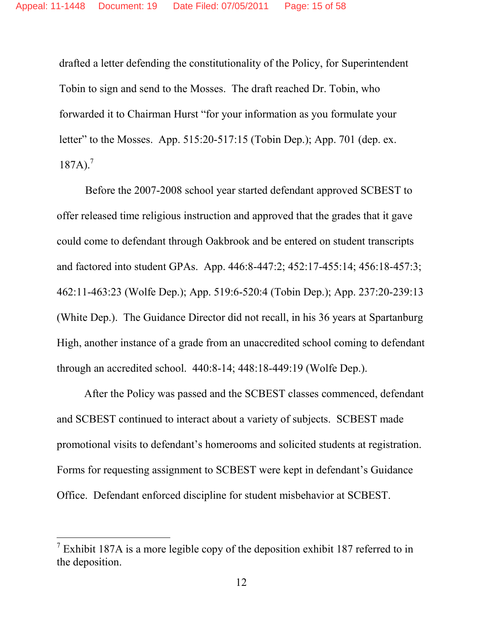drafted a letter defending the constitutionality of the Policy, for Superintendent Tobin to sign and send to the Mosses. The draft reached Dr. Tobin, who forwarded it to Chairman Hurst "for your information as you formulate your letter" to the Mosses. App. 515:20-517:15 (Tobin Dep.); App. 701 (dep. ex. 187A). 7

Before the 2007-2008 school year started defendant approved SCBEST to offer released time religious instruction and approved that the grades that it gave could come to defendant through Oakbrook and be entered on student transcripts and factored into student GPAs. App. 446:8-447:2; 452:17-455:14; 456:18-457:3; 462:11-463:23 (Wolfe Dep.); App. 519:6-520:4 (Tobin Dep.); App. 237:20-239:13 (White Dep.). The Guidance Director did not recall, in his 36 years at Spartanburg High, another instance of a grade from an unaccredited school coming to defendant through an accredited school. 440:8-14; 448:18-449:19 (Wolfe Dep.).

After the Policy was passed and the SCBEST classes commenced, defendant and SCBEST continued to interact about a variety of subjects. SCBEST made promotional visits to defendant's homerooms and solicited students at registration. Forms for requesting assignment to SCBEST were kept in defendant's Guidance Office. Defendant enforced discipline for student misbehavior at SCBEST.

<sup>&</sup>lt;sup>7</sup> Exhibit 187A is a more legible copy of the deposition exhibit 187 referred to in the deposition.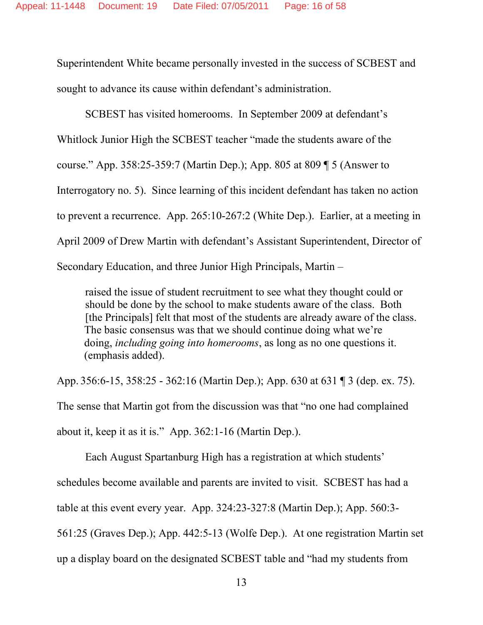Superintendent White became personally invested in the success of SCBEST and sought to advance its cause within defendant's administration.

SCBEST has visited homerooms. In September 2009 at defendant's Whitlock Junior High the SCBEST teacher "made the students aware of the course." App. 358:25-359:7 (Martin Dep.); App. 805 at 809 ¶ 5 (Answer to Interrogatory no. 5). Since learning of this incident defendant has taken no action to prevent a recurrence. App. 265:10-267:2 (White Dep.). Earlier, at a meeting in April 2009 of Drew Martin with defendant's Assistant Superintendent, Director of Secondary Education, and three Junior High Principals, Martin –

raised the issue of student recruitment to see what they thought could or should be done by the school to make students aware of the class. Both [the Principals] felt that most of the students are already aware of the class. The basic consensus was that we should continue doing what we're doing, *including going into homerooms*, as long as no one questions it. (emphasis added).

App. 356:6-15, 358:25 - 362:16 (Martin Dep.); App. 630 at 631 ¶ 3 (dep. ex. 75). The sense that Martin got from the discussion was that "no one had complained about it, keep it as it is." App. 362:1-16 (Martin Dep.).

Each August Spartanburg High has a registration at which students' schedules become available and parents are invited to visit. SCBEST has had a table at this event every year. App. 324:23-327:8 (Martin Dep.); App. 560:3- 561:25 (Graves Dep.); App. 442:5-13 (Wolfe Dep.). At one registration Martin set up a display board on the designated SCBEST table and "had my students from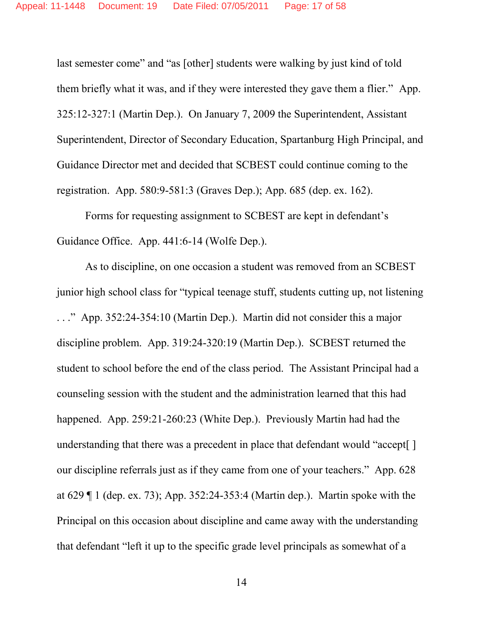last semester come" and "as [other] students were walking by just kind of told them briefly what it was, and if they were interested they gave them a flier." App. 325:12-327:1 (Martin Dep.). On January 7, 2009 the Superintendent, Assistant Superintendent, Director of Secondary Education, Spartanburg High Principal, and Guidance Director met and decided that SCBEST could continue coming to the registration. App. 580:9-581:3 (Graves Dep.); App. 685 (dep. ex. 162).

Forms for requesting assignment to SCBEST are kept in defendant's Guidance Office. App. 441:6-14 (Wolfe Dep.).

As to discipline, on one occasion a student was removed from an SCBEST junior high school class for "typical teenage stuff, students cutting up, not listening . . ." App. 352:24-354:10 (Martin Dep.). Martin did not consider this a major discipline problem. App. 319:24-320:19 (Martin Dep.). SCBEST returned the student to school before the end of the class period. The Assistant Principal had a counseling session with the student and the administration learned that this had happened. App. 259:21-260:23 (White Dep.). Previously Martin had had the understanding that there was a precedent in place that defendant would "accept[ ] our discipline referrals just as if they came from one of your teachers." App. 628 at 629 ¶ 1 (dep. ex. 73); App. 352:24-353:4 (Martin dep.). Martin spoke with the Principal on this occasion about discipline and came away with the understanding that defendant "left it up to the specific grade level principals as somewhat of a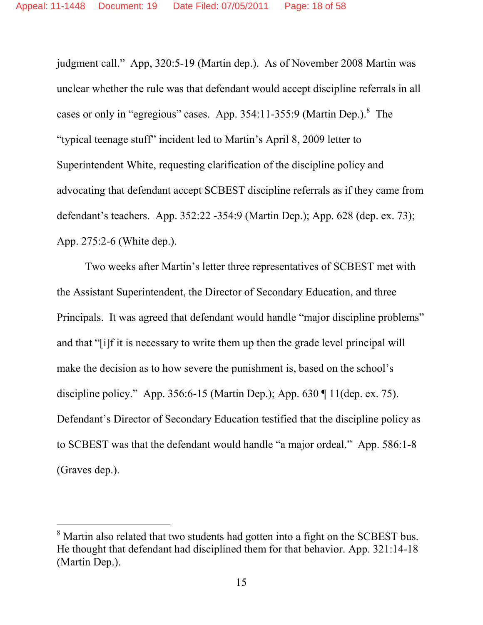judgment call." App, 320:5-19 (Martin dep.). As of November 2008 Martin was unclear whether the rule was that defendant would accept discipline referrals in all cases or only in "egregious" cases. App. 354:11-355:9 (Martin Dep.). The "typical teenage stuff" incident led to Martin's April 8, 2009 letter to Superintendent White, requesting clarification of the discipline policy and advocating that defendant accept SCBEST discipline referrals as if they came from defendant's teachers. App. 352:22 -354:9 (Martin Dep.); App. 628 (dep. ex. 73); App. 275:2-6 (White dep.).

Two weeks after Martin's letter three representatives of SCBEST met with the Assistant Superintendent, the Director of Secondary Education, and three Principals. It was agreed that defendant would handle "major discipline problems" and that "[i]f it is necessary to write them up then the grade level principal will make the decision as to how severe the punishment is, based on the school's discipline policy." App. 356:6-15 (Martin Dep.); App. 630 ¶ 11(dep. ex. 75). Defendant's Director of Secondary Education testified that the discipline policy as to SCBEST was that the defendant would handle "a major ordeal." App. 586:1-8 (Graves dep.).

<sup>&</sup>lt;sup>8</sup> Martin also related that two students had gotten into a fight on the SCBEST bus. He thought that defendant had disciplined them for that behavior. App. 321:14-18 (Martin Dep.).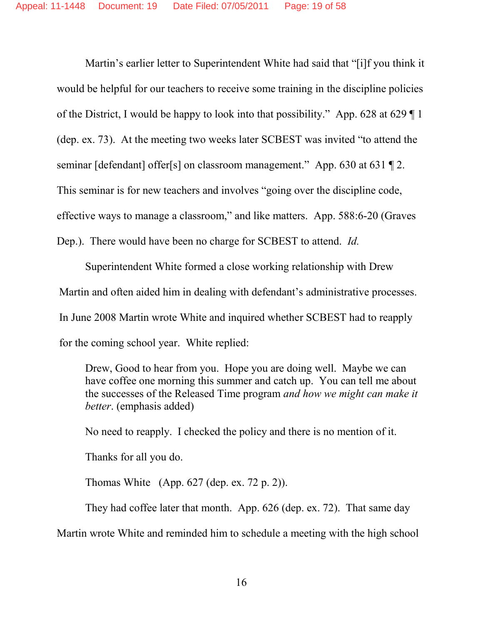Martin's earlier letter to Superintendent White had said that "[i]f you think it would be helpful for our teachers to receive some training in the discipline policies of the District, I would be happy to look into that possibility." App. 628 at 629 ¶ 1 (dep. ex. 73). At the meeting two weeks later SCBEST was invited "to attend the seminar [defendant] offer[s] on classroom management." App. 630 at 631 [2. This seminar is for new teachers and involves "going over the discipline code, effective ways to manage a classroom," and like matters. App. 588:6-20 (Graves Dep.). There would have been no charge for SCBEST to attend. *Id.*

Superintendent White formed a close working relationship with Drew Martin and often aided him in dealing with defendant's administrative processes. In June 2008 Martin wrote White and inquired whether SCBEST had to reapply for the coming school year. White replied:

Drew, Good to hear from you. Hope you are doing well. Maybe we can have coffee one morning this summer and catch up. You can tell me about the successes of the Released Time program *and how we might can make it better*. (emphasis added)

No need to reapply. I checked the policy and there is no mention of it.

Thanks for all you do.

Thomas White (App. 627 (dep. ex. 72 p. 2)).

They had coffee later that month. App. 626 (dep. ex. 72). That same day

Martin wrote White and reminded him to schedule a meeting with the high school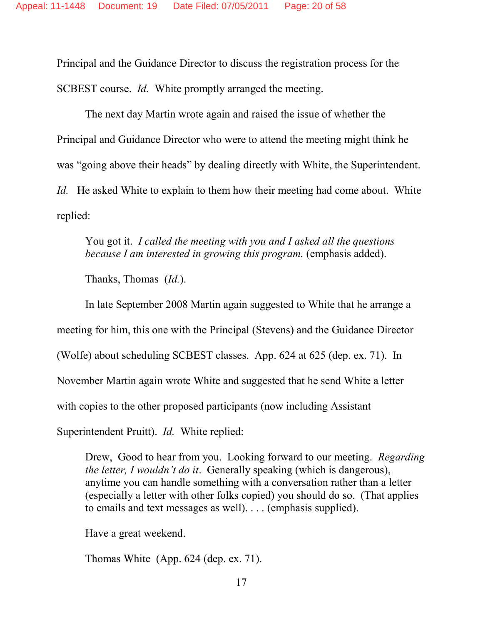Principal and the Guidance Director to discuss the registration process for the SCBEST course. *Id.* White promptly arranged the meeting.

The next day Martin wrote again and raised the issue of whether the Principal and Guidance Director who were to attend the meeting might think he was "going above their heads" by dealing directly with White, the Superintendent. *Id.* He asked White to explain to them how their meeting had come about. White replied:

You got it. *I called the meeting with you and I asked all the questions because I am interested in growing this program.* (emphasis added).

Thanks, Thomas (*Id.*).

In late September 2008 Martin again suggested to White that he arrange a meeting for him, this one with the Principal (Stevens) and the Guidance Director (Wolfe) about scheduling SCBEST classes. App. 624 at 625 (dep. ex. 71). In November Martin again wrote White and suggested that he send White a letter with copies to the other proposed participants (now including Assistant Superintendent Pruitt). *Id.* White replied:

Drew, Good to hear from you. Looking forward to our meeting. *Regarding the letter, I wouldn't do it*. Generally speaking (which is dangerous), anytime you can handle something with a conversation rather than a letter (especially a letter with other folks copied) you should do so. (That applies to emails and text messages as well). . . . (emphasis supplied).

Have a great weekend.

Thomas White (App. 624 (dep. ex. 71).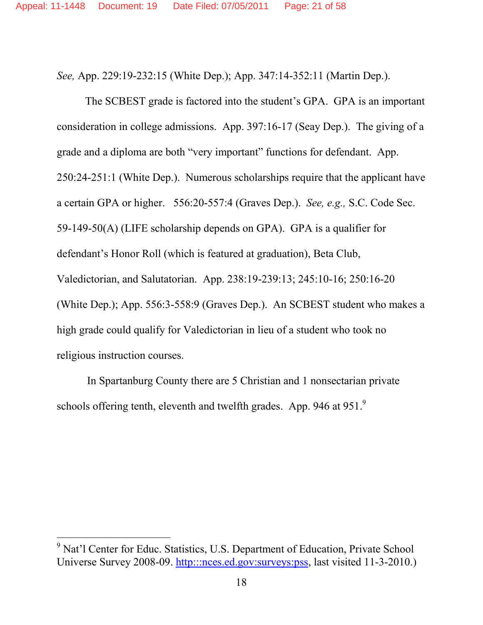*See,* App. 229:19-232:15 (White Dep.); App. 347:14-352:11 (Martin Dep.).

The SCBEST grade is factored into the student's GPA. GPA is an important consideration in college admissions. App. 397:16-17 (Seay Dep.). The giving of a grade and a diploma are both "very important" functions for defendant. App. 250:24-251:1 (White Dep.). Numerous scholarships require that the applicant have a certain GPA or higher. 556:20-557:4 (Graves Dep.). *See, e.g.,* S.C. Code Sec. 59-149-50(A) (LIFE scholarship depends on GPA). GPA is a qualifier for defendant's Honor Roll (which is featured at graduation), Beta Club, Valedictorian, and Salutatorian. App. 238:19-239:13; 245:10-16; 250:16-20 (White Dep.); App. 556:3-558:9 (Graves Dep.). An SCBEST student who makes a high grade could qualify for Valedictorian in lieu of a student who took no religious instruction courses.

In Spartanburg County there are 5 Christian and 1 nonsectarian private schools offering tenth, eleventh and twelfth grades. App. 946 at 951.9

<sup>&</sup>lt;sup>9</sup> Nat'l Center for Educ. Statistics, U.S. Department of Education, Private School Universe Survey 2008-09. http:::nces.ed.gov:surveys:pss, last visited 11-3-2010.)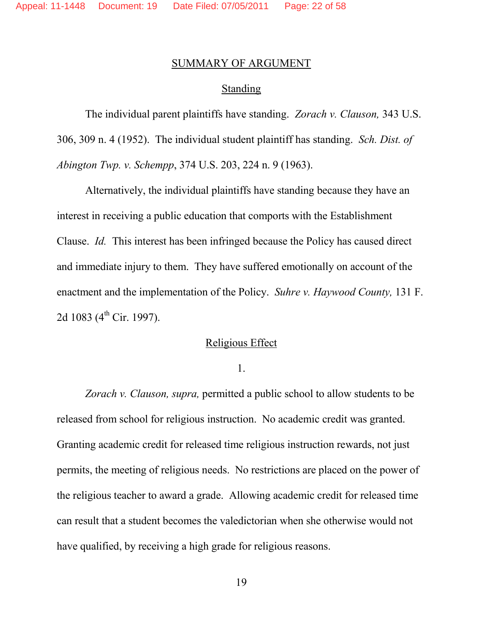### SUMMARY OF ARGUMENT

#### Standing

The individual parent plaintiffs have standing. *Zorach v. Clauson,* 343 U.S. 306, 309 n. 4 (1952). The individual student plaintiff has standing. *Sch. Dist. of Abington Twp. v. Schempp*, 374 U.S. 203, 224 n. 9 (1963).

Alternatively, the individual plaintiffs have standing because they have an interest in receiving a public education that comports with the Establishment Clause. *Id.* This interest has been infringed because the Policy has caused direct and immediate injury to them. They have suffered emotionally on account of the enactment and the implementation of the Policy. *Suhre v. Haywood County,* 131 F. 2d 1083 ( $4^{th}$  Cir. 1997).

#### Religious Effect

1.

*Zorach v. Clauson, supra,* permitted a public school to allow students to be released from school for religious instruction. No academic credit was granted. Granting academic credit for released time religious instruction rewards, not just permits, the meeting of religious needs. No restrictions are placed on the power of the religious teacher to award a grade. Allowing academic credit for released time can result that a student becomes the valedictorian when she otherwise would not have qualified, by receiving a high grade for religious reasons.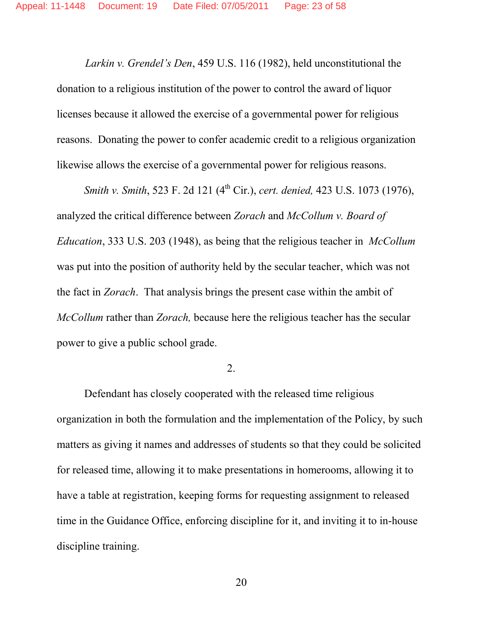*Larkin v. Grendel's Den*, 459 U.S. 116 (1982), held unconstitutional the donation to a religious institution of the power to control the award of liquor licenses because it allowed the exercise of a governmental power for religious reasons. Donating the power to confer academic credit to a religious organization likewise allows the exercise of a governmental power for religious reasons.

*Smith v. Smith*, 523 F. 2d 121 (4th Cir.), *cert. denied,* 423 U.S. 1073 (1976), analyzed the critical difference between *Zorach* and *McCollum v. Board of Education*, 333 U.S. 203 (1948), as being that the religious teacher in *McCollum* was put into the position of authority held by the secular teacher, which was not the fact in *Zorach*. That analysis brings the present case within the ambit of *McCollum* rather than *Zorach,* because here the religious teacher has the secular power to give a public school grade.

2.

Defendant has closely cooperated with the released time religious organization in both the formulation and the implementation of the Policy, by such matters as giving it names and addresses of students so that they could be solicited for released time, allowing it to make presentations in homerooms, allowing it to have a table at registration, keeping forms for requesting assignment to released time in the Guidance Office, enforcing discipline for it, and inviting it to in-house discipline training.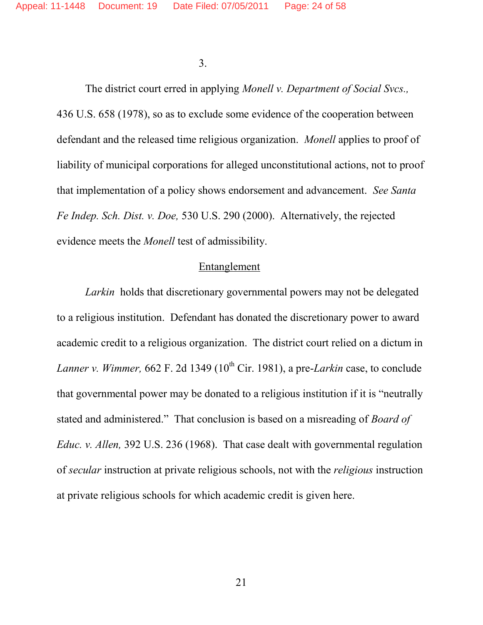3.

The district court erred in applying *Monell v. Department of Social Svcs.,* 436 U.S. 658 (1978), so as to exclude some evidence of the cooperation between defendant and the released time religious organization. *Monell* applies to proof of liability of municipal corporations for alleged unconstitutional actions, not to proof that implementation of a policy shows endorsement and advancement. *See Santa Fe Indep. Sch. Dist. v. Doe,* 530 U.S. 290 (2000). Alternatively, the rejected evidence meets the *Monell* test of admissibility.

### Entanglement

*Larkin* holds that discretionary governmental powers may not be delegated to a religious institution. Defendant has donated the discretionary power to award academic credit to a religious organization. The district court relied on a dictum in *Lanner v. Wimmer,* 662 F. 2d 1349 ( $10^{th}$  Cir. 1981), a pre-*Larkin* case, to conclude that governmental power may be donated to a religious institution if it is "neutrally stated and administered." That conclusion is based on a misreading of *Board of Educ. v. Allen,* 392 U.S. 236 (1968). That case dealt with governmental regulation of *secular* instruction at private religious schools, not with the *religious* instruction at private religious schools for which academic credit is given here.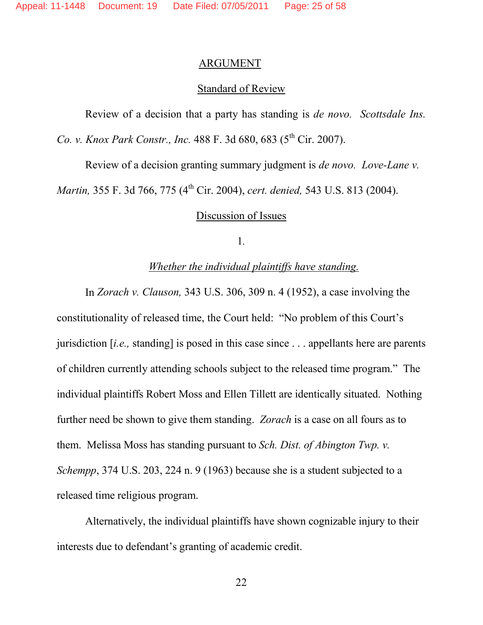#### ARGUMENT

### **Standard of Review**

Review of a decision that a party has standing is *de novo. Scottsdale Ins. Co. v. Knox Park Constr., Inc.* 488 F. 3d 680, 683 (5<sup>th</sup> Cir. 2007).

Review of a decision granting summary judgment is *de novo. Love-Lane v.*

*Martin,* 355 F. 3d 766, 775 (4<sup>th</sup> Cir. 2004), *cert. denied,* 543 U.S. 813 (2004).

### Discussion of Issues

1*.*

### *Whether the individual plaintiffs have standing.*

In *Zorach v. Clauson,* 343 U.S. 306, 309 n. 4 (1952), a case involving the constitutionality of released time, the Court held: "No problem of this Court's jurisdiction [*i.e.,* standing] is posed in this case since . . . appellants here are parents of children currently attending schools subject to the released time program." The individual plaintiffs Robert Moss and Ellen Tillett are identically situated. Nothing further need be shown to give them standing. *Zorach* is a case on all fours as to them. Melissa Moss has standing pursuant to *Sch. Dist. of Abington Twp. v. Schempp*, 374 U.S. 203, 224 n. 9 (1963) because she is a student subjected to a released time religious program.

Alternatively, the individual plaintiffs have shown cognizable injury to their interests due to defendant's granting of academic credit.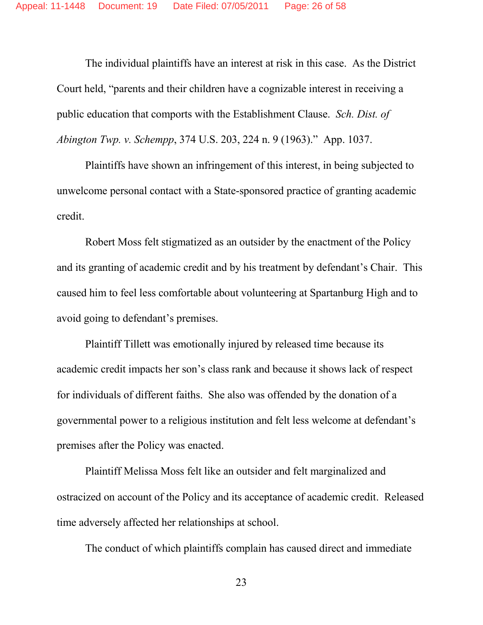The individual plaintiffs have an interest at risk in this case. As the District Court held, "parents and their children have a cognizable interest in receiving a public education that comports with the Establishment Clause. *Sch. Dist. of Abington Twp. v. Schempp*, 374 U.S. 203, 224 n. 9 (1963)." App. 1037.

Plaintiffs have shown an infringement of this interest, in being subjected to unwelcome personal contact with a State-sponsored practice of granting academic credit.

Robert Moss felt stigmatized as an outsider by the enactment of the Policy and its granting of academic credit and by his treatment by defendant's Chair. This caused him to feel less comfortable about volunteering at Spartanburg High and to avoid going to defendant's premises.

Plaintiff Tillett was emotionally injured by released time because its academic credit impacts her son's class rank and because it shows lack of respect for individuals of different faiths. She also was offended by the donation of a governmental power to a religious institution and felt less welcome at defendant's premises after the Policy was enacted.

Plaintiff Melissa Moss felt like an outsider and felt marginalized and ostracized on account of the Policy and its acceptance of academic credit. Released time adversely affected her relationships at school.

The conduct of which plaintiffs complain has caused direct and immediate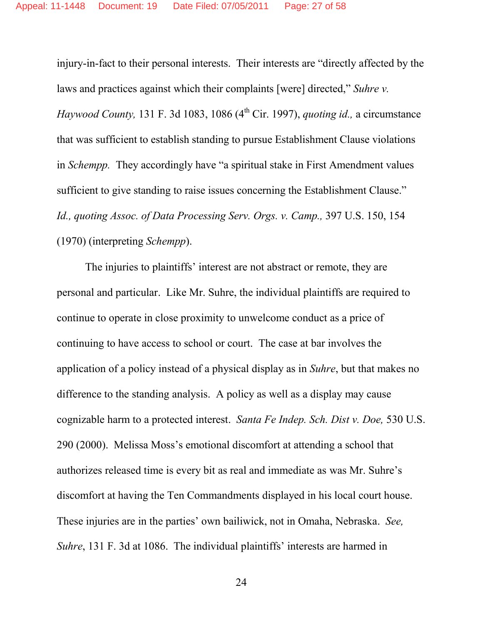injury-in-fact to their personal interests. Their interests are "directly affected by the laws and practices against which their complaints [were] directed," *Suhre v. Haywood County*, 131 F. 3d 1083, 1086 (4<sup>th</sup> Cir. 1997), *quoting id.*, a circumstance that was sufficient to establish standing to pursue Establishment Clause violations in *Schempp.* They accordingly have "a spiritual stake in First Amendment values sufficient to give standing to raise issues concerning the Establishment Clause." *Id., quoting Assoc. of Data Processing Serv. Orgs. v. Camp.,* 397 U.S. 150, 154 (1970) (interpreting *Schempp*).

The injuries to plaintiffs' interest are not abstract or remote, they are personal and particular. Like Mr. Suhre, the individual plaintiffs are required to continue to operate in close proximity to unwelcome conduct as a price of continuing to have access to school or court. The case at bar involves the application of a policy instead of a physical display as in *Suhre*, but that makes no difference to the standing analysis. A policy as well as a display may cause cognizable harm to a protected interest. *Santa Fe Indep. Sch. Dist v. Doe,* 530 U.S. 290 (2000). Melissa Moss's emotional discomfort at attending a school that authorizes released time is every bit as real and immediate as was Mr. Suhre's discomfort at having the Ten Commandments displayed in his local court house. These injuries are in the parties' own bailiwick, not in Omaha, Nebraska. *See, Suhre*, 131 F. 3d at 1086. The individual plaintiffs' interests are harmed in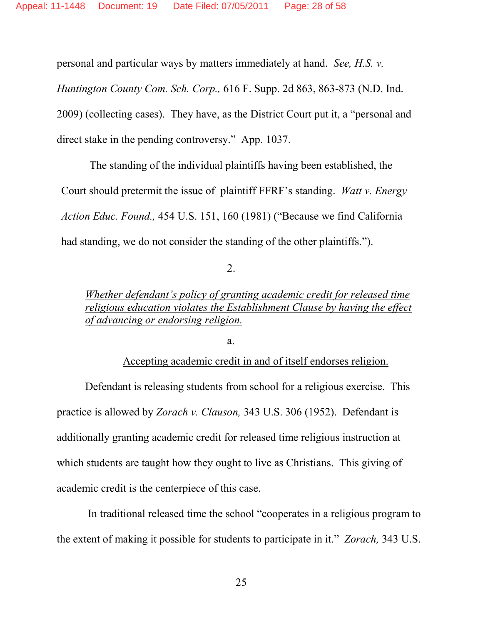personal and particular ways by matters immediately at hand. *See, H.S. v.*

*Huntington County Com. Sch. Corp.,* 616 F. Supp. 2d 863, 863-873 (N.D. Ind. 2009) (collecting cases). They have, as the District Court put it, a "personal and direct stake in the pending controversy." App. 1037.

The standing of the individual plaintiffs having been established, the Court should pretermit the issue of plaintiff FFRF's standing. *Watt v. Energy Action Educ. Found.,* 454 U.S. 151, 160 (1981) ("Because we find California had standing, we do not consider the standing of the other plaintiffs.").

2.

*Whether defendant's policy of granting academic credit for released time religious education violates the Establishment Clause by having the effect of advancing or endorsing religion.*

a.

Accepting academic credit in and of itself endorses religion.

Defendant is releasing students from school for a religious exercise. This practice is allowed by *Zorach v. Clauson,* 343 U.S. 306 (1952). Defendant is additionally granting academic credit for released time religious instruction at which students are taught how they ought to live as Christians. This giving of academic credit is the centerpiece of this case.

In traditional released time the school "cooperates in a religious program to the extent of making it possible for students to participate in it." *Zorach,* 343 U.S.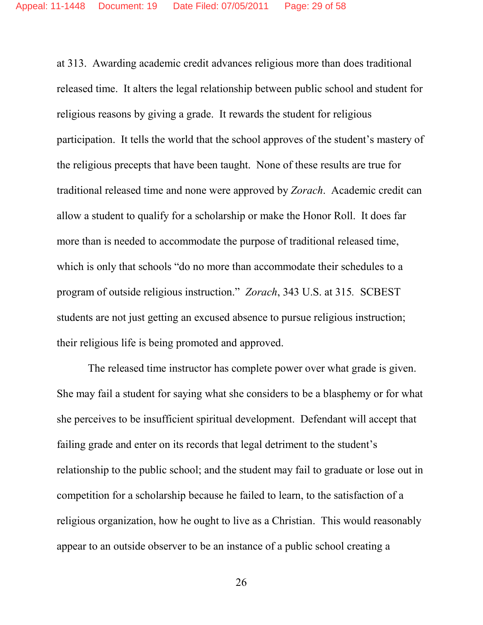at 313. Awarding academic credit advances religious more than does traditional released time. It alters the legal relationship between public school and student for religious reasons by giving a grade. It rewards the student for religious participation. It tells the world that the school approves of the student's mastery of the religious precepts that have been taught. None of these results are true for traditional released time and none were approved by *Zorach*. Academic credit can allow a student to qualify for a scholarship or make the Honor Roll. It does far more than is needed to accommodate the purpose of traditional released time, which is only that schools "do no more than accommodate their schedules to a program of outside religious instruction." *Zorach*, 343 U.S. at 315*.* SCBEST students are not just getting an excused absence to pursue religious instruction; their religious life is being promoted and approved.

The released time instructor has complete power over what grade is given. She may fail a student for saying what she considers to be a blasphemy or for what she perceives to be insufficient spiritual development. Defendant will accept that failing grade and enter on its records that legal detriment to the student's relationship to the public school; and the student may fail to graduate or lose out in competition for a scholarship because he failed to learn, to the satisfaction of a religious organization, how he ought to live as a Christian. This would reasonably appear to an outside observer to be an instance of a public school creating a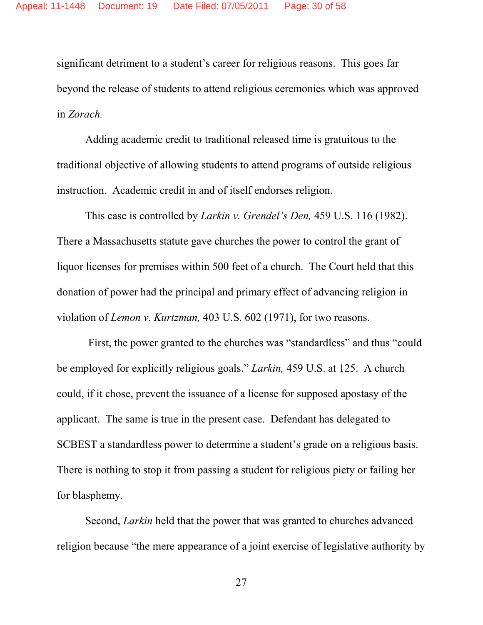significant detriment to a student's career for religious reasons. This goes far beyond the release of students to attend religious ceremonies which was approved in *Zorach.*

Adding academic credit to traditional released time is gratuitous to the traditional objective of allowing students to attend programs of outside religious instruction. Academic credit in and of itself endorses religion.

This case is controlled by *Larkin v. Grendel's Den,* 459 U.S. 116 (1982). There a Massachusetts statute gave churches the power to control the grant of liquor licenses for premises within 500 feet of a church. The Court held that this donation of power had the principal and primary effect of advancing religion in violation of *Lemon v. Kurtzman,* 403 U.S. 602 (1971), for two reasons.

First, the power granted to the churches was "standardless" and thus "could be employed for explicitly religious goals." *Larkin,* 459 U.S. at 125. A church could, if it chose, prevent the issuance of a license for supposed apostasy of the applicant. The same is true in the present case. Defendant has delegated to SCBEST a standardless power to determine a student's grade on a religious basis. There is nothing to stop it from passing a student for religious piety or failing her for blasphemy.

Second, *Larkin* held that the power that was granted to churches advanced religion because "the mere appearance of a joint exercise of legislative authority by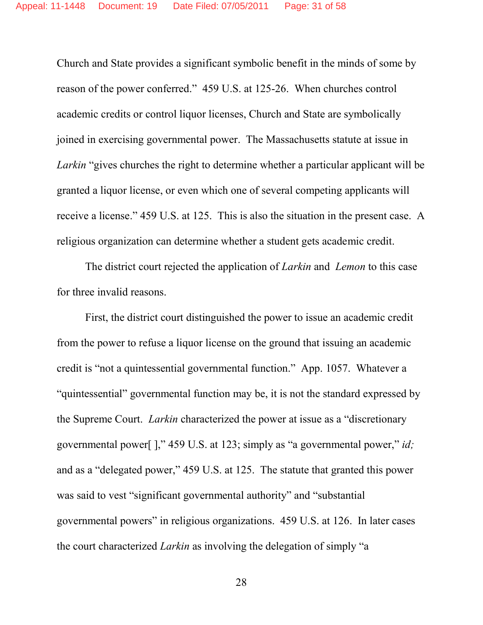Church and State provides a significant symbolic benefit in the minds of some by reason of the power conferred." 459 U.S. at 125-26. When churches control academic credits or control liquor licenses, Church and State are symbolically joined in exercising governmental power. The Massachusetts statute at issue in *Larkin* "gives churches the right to determine whether a particular applicant will be granted a liquor license, or even which one of several competing applicants will receive a license." 459 U.S. at 125. This is also the situation in the present case. A religious organization can determine whether a student gets academic credit.

The district court rejected the application of *Larkin* and *Lemon* to this case for three invalid reasons.

First, the district court distinguished the power to issue an academic credit from the power to refuse a liquor license on the ground that issuing an academic credit is "not a quintessential governmental function." App. 1057. Whatever a "quintessential" governmental function may be, it is not the standard expressed by the Supreme Court. *Larkin* characterized the power at issue as a "discretionary governmental power[ ]," 459 U.S. at 123; simply as "a governmental power," *id;* and as a "delegated power," 459 U.S. at 125. The statute that granted this power was said to vest "significant governmental authority" and "substantial governmental powers" in religious organizations. 459 U.S. at 126. In later cases the court characterized *Larkin* as involving the delegation of simply "a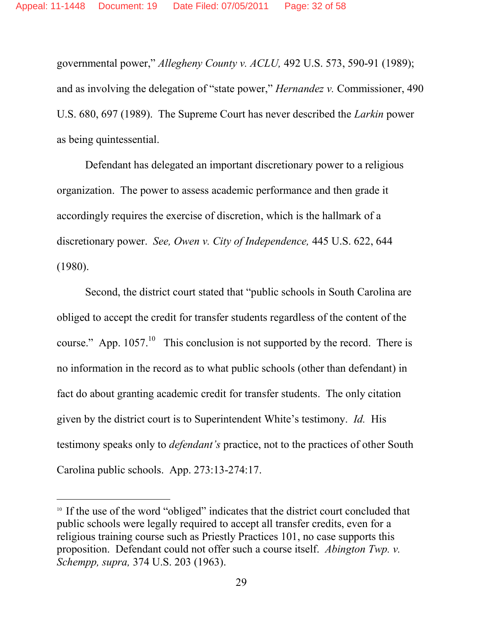governmental power," *Allegheny County v. ACLU,* 492 U.S. 573, 590-91 (1989); and as involving the delegation of "state power," *Hernandez v.* Commissioner, 490 U.S. 680, 697 (1989). The Supreme Court has never described the *Larkin* power as being quintessential.

Defendant has delegated an important discretionary power to a religious organization. The power to assess academic performance and then grade it accordingly requires the exercise of discretion, which is the hallmark of a discretionary power. *See, Owen v. City of Independence,* 445 U.S. 622, 644 (1980).

Second, the district court stated that "public schools in South Carolina are obliged to accept the credit for transfer students regardless of the content of the course." App.  $1057$ .<sup>10</sup> This conclusion is not supported by the record. There is no information in the record as to what public schools (other than defendant) in fact do about granting academic credit for transfer students. The only citation given by the district court is to Superintendent White's testimony. *Id.* His testimony speaks only to *defendant's* practice, not to the practices of other South Carolina public schools. App. 273:13-274:17.

<sup>10</sup> If the use of the word "obliged" indicates that the district court concluded that public schools were legally required to accept all transfer credits, even for a religious training course such as Priestly Practices 101, no case supports this proposition. Defendant could not offer such a course itself. *Abington Twp. v. Schempp, supra,* 374 U.S. 203 (1963).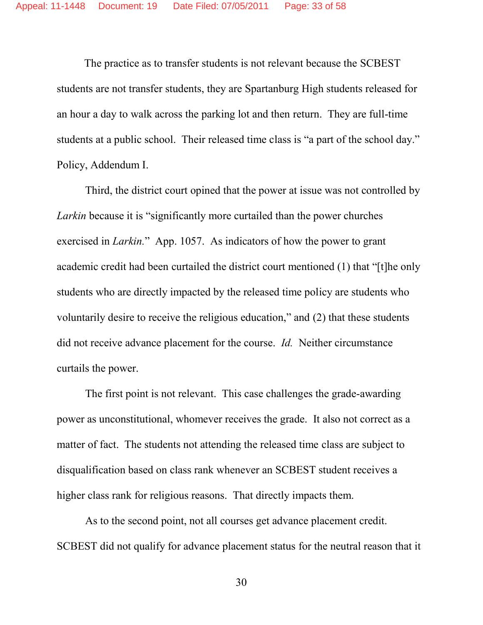The practice as to transfer students is not relevant because the SCBEST students are not transfer students, they are Spartanburg High students released for an hour a day to walk across the parking lot and then return. They are full-time students at a public school. Their released time class is "a part of the school day." Policy, Addendum I.

Third, the district court opined that the power at issue was not controlled by *Larkin* because it is "significantly more curtailed than the power churches exercised in *Larkin.*" App. 1057. As indicators of how the power to grant academic credit had been curtailed the district court mentioned (1) that "[t]he only students who are directly impacted by the released time policy are students who voluntarily desire to receive the religious education," and (2) that these students did not receive advance placement for the course. *Id.* Neither circumstance curtails the power.

The first point is not relevant. This case challenges the grade-awarding power as unconstitutional, whomever receives the grade. It also not correct as a matter of fact. The students not attending the released time class are subject to disqualification based on class rank whenever an SCBEST student receives a higher class rank for religious reasons. That directly impacts them.

As to the second point, not all courses get advance placement credit. SCBEST did not qualify for advance placement status for the neutral reason that it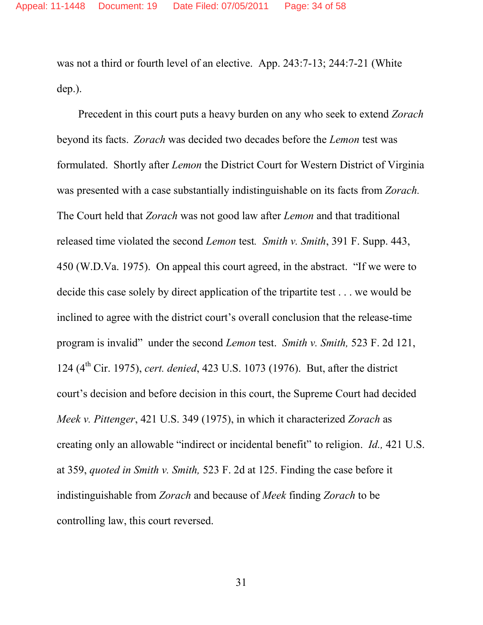was not a third or fourth level of an elective. App. 243:7-13; 244:7-21 (White dep.).

Precedent in this court puts a heavy burden on any who seek to extend *Zorach* beyond its facts. *Zorach* was decided two decades before the *Lemon* test was formulated. Shortly after *Lemon* the District Court for Western District of Virginia was presented with a case substantially indistinguishable on its facts from *Zorach.* The Court held that *Zorach* was not good law after *Lemon* and that traditional released time violated the second *Lemon* test*. Smith v. Smith*, 391 F. Supp. 443, 450 (W.D.Va. 1975). On appeal this court agreed, in the abstract. "If we were to decide this case solely by direct application of the tripartite test . . . we would be inclined to agree with the district court's overall conclusion that the release-time program is invalid" under the second *Lemon* test. *Smith v. Smith,* 523 F. 2d 121, 124 (4th Cir. 1975), *cert. denied*, 423 U.S. 1073 (1976). But, after the district court's decision and before decision in this court, the Supreme Court had decided *Meek v. Pittenger*, 421 U.S. 349 (1975), in which it characterized *Zorach* as creating only an allowable "indirect or incidental benefit" to religion. *Id.,* 421 U.S. at 359, *quoted in Smith v. Smith,* 523 F. 2d at 125. Finding the case before it indistinguishable from *Zorach* and because of *Meek* finding *Zorach* to be controlling law, this court reversed.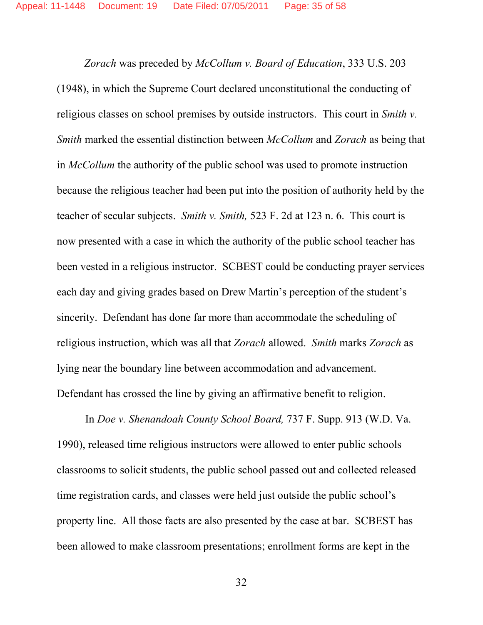*Zorach* was preceded by *McCollum v. Board of Education*, 333 U.S. 203 (1948), in which the Supreme Court declared unconstitutional the conducting of religious classes on school premises by outside instructors. This court in *Smith v. Smith* marked the essential distinction between *McCollum* and *Zorach* as being that in *McCollum* the authority of the public school was used to promote instruction because the religious teacher had been put into the position of authority held by the teacher of secular subjects. *Smith v. Smith,* 523 F. 2d at 123 n. 6. This court is now presented with a case in which the authority of the public school teacher has been vested in a religious instructor. SCBEST could be conducting prayer services each day and giving grades based on Drew Martin's perception of the student's sincerity. Defendant has done far more than accommodate the scheduling of religious instruction, which was all that *Zorach* allowed. *Smith* marks *Zorach* as lying near the boundary line between accommodation and advancement. Defendant has crossed the line by giving an affirmative benefit to religion.

In *Doe v. Shenandoah County School Board,* 737 F. Supp. 913 (W.D. Va. 1990), released time religious instructors were allowed to enter public schools classrooms to solicit students, the public school passed out and collected released time registration cards, and classes were held just outside the public school's property line. All those facts are also presented by the case at bar. SCBEST has been allowed to make classroom presentations; enrollment forms are kept in the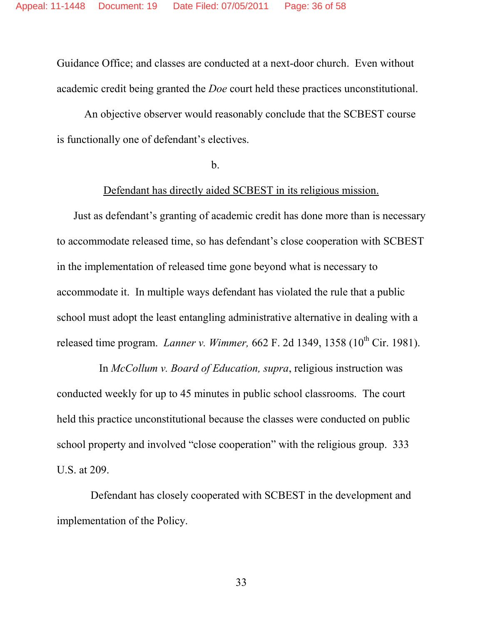Guidance Office; and classes are conducted at a next-door church. Even without academic credit being granted the *Doe* court held these practices unconstitutional.

An objective observer would reasonably conclude that the SCBEST course is functionally one of defendant's electives.

b.

#### Defendant has directly aided SCBEST in its religious mission.

Just as defendant's granting of academic credit has done more than is necessary to accommodate released time, so has defendant's close cooperation with SCBEST in the implementation of released time gone beyond what is necessary to accommodate it. In multiple ways defendant has violated the rule that a public school must adopt the least entangling administrative alternative in dealing with a released time program. *Lanner v. Wimmer*, 662 F. 2d 1349, 1358 (10<sup>th</sup> Cir. 1981).

In *McCollum v. Board of Education, supra*, religious instruction was conducted weekly for up to 45 minutes in public school classrooms. The court held this practice unconstitutional because the classes were conducted on public school property and involved "close cooperation" with the religious group. 333 U.S. at 209.

Defendant has closely cooperated with SCBEST in the development and implementation of the Policy.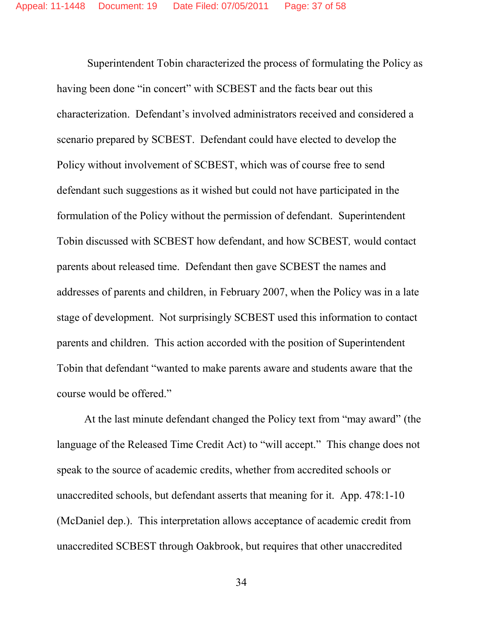Superintendent Tobin characterized the process of formulating the Policy as having been done "in concert" with SCBEST and the facts bear out this characterization. Defendant's involved administrators received and considered a scenario prepared by SCBEST. Defendant could have elected to develop the Policy without involvement of SCBEST, which was of course free to send defendant such suggestions as it wished but could not have participated in the formulation of the Policy without the permission of defendant. Superintendent Tobin discussed with SCBEST how defendant, and how SCBEST*,* would contact parents about released time. Defendant then gave SCBEST the names and addresses of parents and children, in February 2007, when the Policy was in a late stage of development. Not surprisingly SCBEST used this information to contact parents and children. This action accorded with the position of Superintendent Tobin that defendant "wanted to make parents aware and students aware that the course would be offered."

At the last minute defendant changed the Policy text from "may award" (the language of the Released Time Credit Act) to "will accept." This change does not speak to the source of academic credits, whether from accredited schools or unaccredited schools, but defendant asserts that meaning for it. App. 478:1-10 (McDaniel dep.). This interpretation allows acceptance of academic credit from unaccredited SCBEST through Oakbrook, but requires that other unaccredited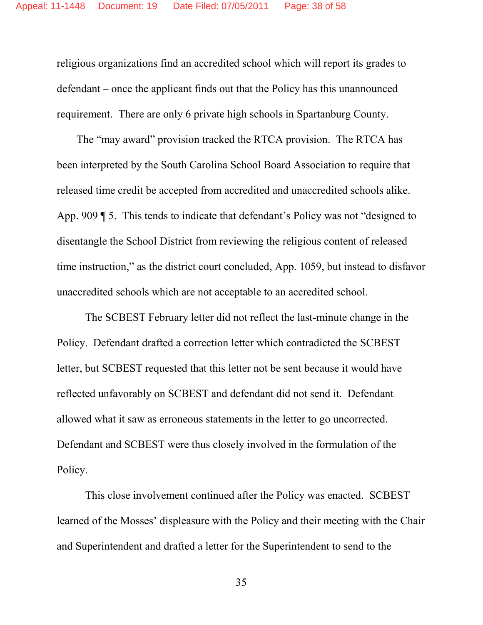religious organizations find an accredited school which will report its grades to defendant – once the applicant finds out that the Policy has this unannounced requirement. There are only 6 private high schools in Spartanburg County.

The "may award" provision tracked the RTCA provision. The RTCA has been interpreted by the South Carolina School Board Association to require that released time credit be accepted from accredited and unaccredited schools alike. App. 909 ¶ 5. This tends to indicate that defendant's Policy was not "designed to disentangle the School District from reviewing the religious content of released time instruction," as the district court concluded, App. 1059, but instead to disfavor unaccredited schools which are not acceptable to an accredited school.

The SCBEST February letter did not reflect the last-minute change in the Policy. Defendant drafted a correction letter which contradicted the SCBEST letter, but SCBEST requested that this letter not be sent because it would have reflected unfavorably on SCBEST and defendant did not send it. Defendant allowed what it saw as erroneous statements in the letter to go uncorrected. Defendant and SCBEST were thus closely involved in the formulation of the Policy.

This close involvement continued after the Policy was enacted. SCBEST learned of the Mosses' displeasure with the Policy and their meeting with the Chair and Superintendent and drafted a letter for the Superintendent to send to the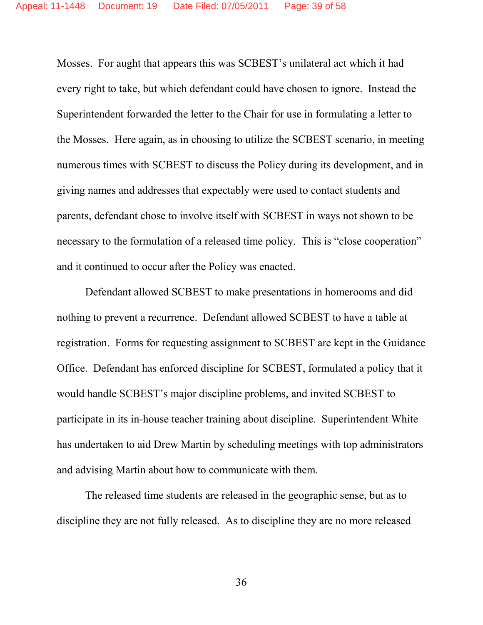Mosses. For aught that appears this was SCBEST's unilateral act which it had every right to take, but which defendant could have chosen to ignore. Instead the Superintendent forwarded the letter to the Chair for use in formulating a letter to the Mosses. Here again, as in choosing to utilize the SCBEST scenario, in meeting numerous times with SCBEST to discuss the Policy during its development, and in giving names and addresses that expectably were used to contact students and parents, defendant chose to involve itself with SCBEST in ways not shown to be necessary to the formulation of a released time policy. This is "close cooperation" and it continued to occur after the Policy was enacted.

Defendant allowed SCBEST to make presentations in homerooms and did nothing to prevent a recurrence. Defendant allowed SCBEST to have a table at registration. Forms for requesting assignment to SCBEST are kept in the Guidance Office. Defendant has enforced discipline for SCBEST, formulated a policy that it would handle SCBEST's major discipline problems, and invited SCBEST to participate in its in-house teacher training about discipline. Superintendent White has undertaken to aid Drew Martin by scheduling meetings with top administrators and advising Martin about how to communicate with them.

The released time students are released in the geographic sense, but as to discipline they are not fully released. As to discipline they are no more released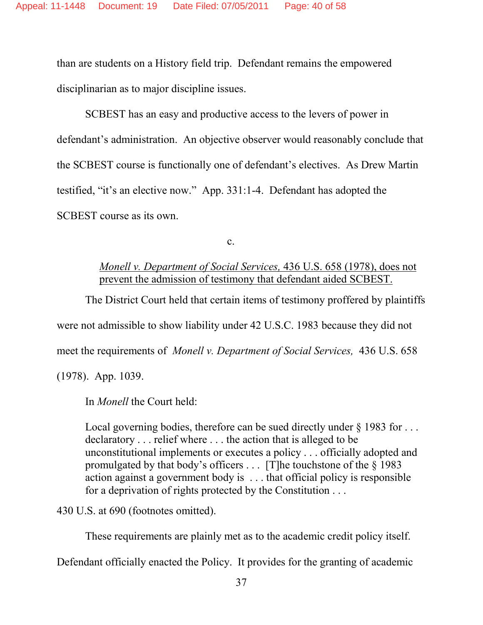than are students on a History field trip. Defendant remains the empowered disciplinarian as to major discipline issues.

SCBEST has an easy and productive access to the levers of power in defendant's administration. An objective observer would reasonably conclude that the SCBEST course is functionally one of defendant's electives. As Drew Martin testified, "it's an elective now." App. 331:1-4. Defendant has adopted the SCBEST course as its own.

c.

### *Monell v. Department of Social Services,* 436 U.S. 658 (1978), does not prevent the admission of testimony that defendant aided SCBEST.

The District Court held that certain items of testimony proffered by plaintiffs were not admissible to show liability under 42 U.S.C. 1983 because they did not meet the requirements of *Monell v. Department of Social Services,* 436 U.S. 658 (1978). App. 1039.

In *Monell* the Court held:

Local governing bodies, therefore can be sued directly under  $\S$  1983 for ... declaratory . . . relief where . . . the action that is alleged to be unconstitutional implements or executes a policy . . . officially adopted and promulgated by that body's officers  $\dots$  [T]he touchstone of the § 1983 action against a government body is . . . that official policy is responsible for a deprivation of rights protected by the Constitution . . .

430 U.S. at 690 (footnotes omitted).

These requirements are plainly met as to the academic credit policy itself.

Defendant officially enacted the Policy. It provides for the granting of academic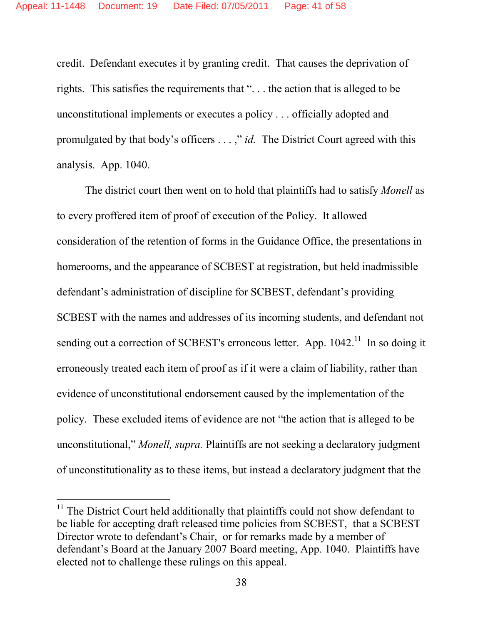credit. Defendant executes it by granting credit. That causes the deprivation of rights. This satisfies the requirements that ". . . the action that is alleged to be unconstitutional implements or executes a policy . . . officially adopted and promulgated by that body's officers . . . ," *id.* The District Court agreed with this analysis. App. 1040.

The district court then went on to hold that plaintiffs had to satisfy *Monell* as to every proffered item of proof of execution of the Policy. It allowed consideration of the retention of forms in the Guidance Office, the presentations in homerooms, and the appearance of SCBEST at registration, but held inadmissible defendant's administration of discipline for SCBEST, defendant's providing SCBEST with the names and addresses of its incoming students, and defendant not sending out a correction of SCBEST's erroneous letter. App. 1042.<sup>11</sup> In so doing it erroneously treated each item of proof as if it were a claim of liability, rather than evidence of unconstitutional endorsement caused by the implementation of the policy. These excluded items of evidence are not "the action that is alleged to be unconstitutional," *Monell, supra.* Plaintiffs are not seeking a declaratory judgment of unconstitutionality as to these items, but instead a declaratory judgment that the

<sup>&</sup>lt;sup>11</sup> The District Court held additionally that plaintiffs could not show defendant to be liable for accepting draft released time policies from SCBEST, that a SCBEST Director wrote to defendant's Chair, or for remarks made by a member of defendant's Board at the January 2007 Board meeting, App. 1040. Plaintiffs have elected not to challenge these rulings on this appeal.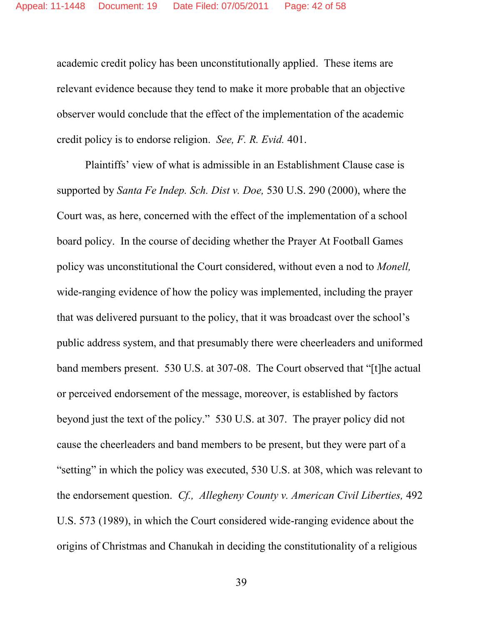academic credit policy has been unconstitutionally applied. These items are relevant evidence because they tend to make it more probable that an objective observer would conclude that the effect of the implementation of the academic credit policy is to endorse religion. *See, F. R. Evid.* 401.

Plaintiffs' view of what is admissible in an Establishment Clause case is supported by *Santa Fe Indep. Sch. Dist v. Doe,* 530 U.S. 290 (2000), where the Court was, as here, concerned with the effect of the implementation of a school board policy. In the course of deciding whether the Prayer At Football Games policy was unconstitutional the Court considered, without even a nod to *Monell,* wide-ranging evidence of how the policy was implemented, including the prayer that was delivered pursuant to the policy, that it was broadcast over the school's public address system, and that presumably there were cheerleaders and uniformed band members present. 530 U.S. at 307-08. The Court observed that "[t]he actual or perceived endorsement of the message, moreover, is established by factors beyond just the text of the policy." 530 U.S. at 307. The prayer policy did not cause the cheerleaders and band members to be present, but they were part of a "setting" in which the policy was executed, 530 U.S. at 308, which was relevant to the endorsement question. *Cf., Allegheny County v. American Civil Liberties,* 492 U.S. 573 (1989), in which the Court considered wide-ranging evidence about the origins of Christmas and Chanukah in deciding the constitutionality of a religious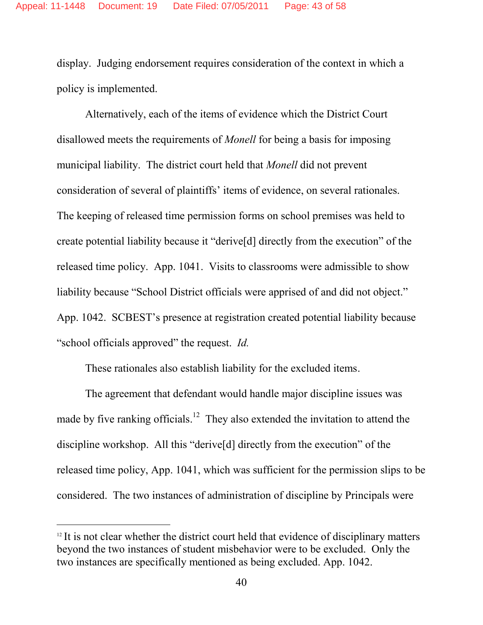display. Judging endorsement requires consideration of the context in which a policy is implemented.

Alternatively, each of the items of evidence which the District Court disallowed meets the requirements of *Monell* for being a basis for imposing municipal liability. The district court held that *Monell* did not prevent consideration of several of plaintiffs' items of evidence, on several rationales. The keeping of released time permission forms on school premises was held to create potential liability because it "derive[d] directly from the execution" of the released time policy. App. 1041. Visits to classrooms were admissible to show liability because "School District officials were apprised of and did not object." App. 1042. SCBEST's presence at registration created potential liability because "school officials approved" the request. *Id.*

These rationales also establish liability for the excluded items.

The agreement that defendant would handle major discipline issues was made by five ranking officials.<sup>12</sup> They also extended the invitation to attend the discipline workshop. All this "derive[d] directly from the execution" of the released time policy, App. 1041, which was sufficient for the permission slips to be considered. The two instances of administration of discipline by Principals were

 $12$  It is not clear whether the district court held that evidence of disciplinary matters beyond the two instances of student misbehavior were to be excluded. Only the two instances are specifically mentioned as being excluded. App. 1042.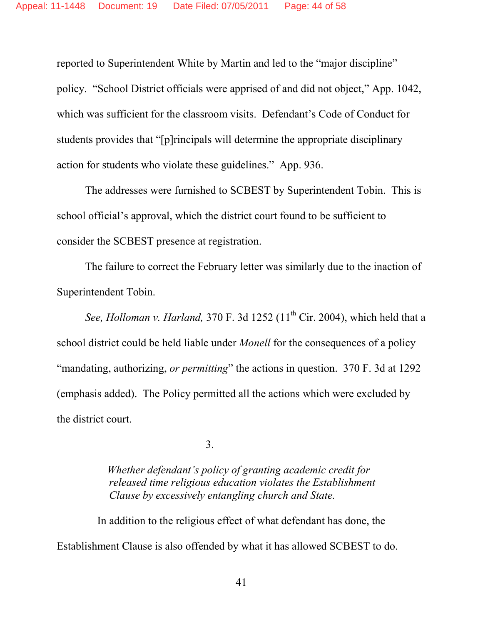reported to Superintendent White by Martin and led to the "major discipline" policy. "School District officials were apprised of and did not object," App. 1042, which was sufficient for the classroom visits. Defendant's Code of Conduct for students provides that "[p]rincipals will determine the appropriate disciplinary action for students who violate these guidelines." App. 936.

The addresses were furnished to SCBEST by Superintendent Tobin. This is school official's approval, which the district court found to be sufficient to consider the SCBEST presence at registration.

The failure to correct the February letter was similarly due to the inaction of Superintendent Tobin.

*See, Holloman v. Harland,* 370 F. 3d 1252 (11<sup>th</sup> Cir. 2004), which held that a school district could be held liable under *Monell* for the consequences of a policy "mandating, authorizing, *or permitting*" the actions in question. 370 F. 3d at 1292 (emphasis added). The Policy permitted all the actions which were excluded by the district court.

3.

*Whether defendant's policy of granting academic credit for released time religious education violates the Establishment Clause by excessively entangling church and State.*

In addition to the religious effect of what defendant has done, the Establishment Clause is also offended by what it has allowed SCBEST to do.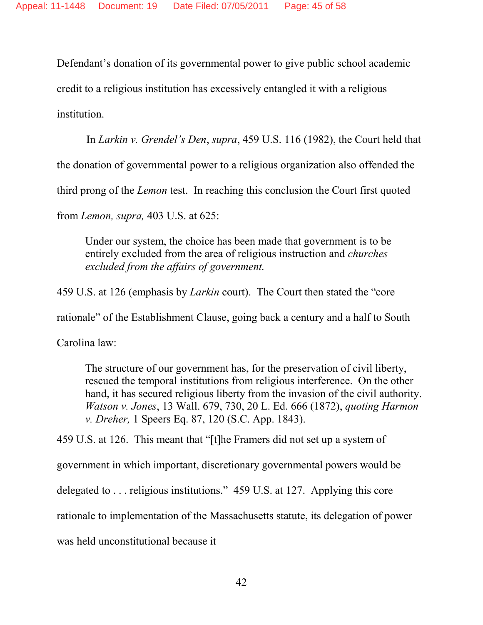Defendant's donation of its governmental power to give public school academic credit to a religious institution has excessively entangled it with a religious

institution.

In *Larkin v. Grendel's Den*, *supra*, 459 U.S. 116 (1982), the Court held that

the donation of governmental power to a religious organization also offended the

third prong of the *Lemon* test. In reaching this conclusion the Court first quoted

from *Lemon, supra,* 403 U.S. at 625:

Under our system, the choice has been made that government is to be entirely excluded from the area of religious instruction and *churches excluded from the affairs of government.*

459 U.S. at 126 (emphasis by *Larkin* court). The Court then stated the "core

rationale" of the Establishment Clause, going back a century and a half to South

Carolina law:

The structure of our government has, for the preservation of civil liberty, rescued the temporal institutions from religious interference. On the other hand, it has secured religious liberty from the invasion of the civil authority. *Watson v. Jones*, 13 Wall. 679, 730, 20 L. Ed. 666 (1872), *quoting Harmon v. Dreher,* 1 Speers Eq. 87, 120 (S.C. App. 1843).

459 U.S. at 126. This meant that "[t]he Framers did not set up a system of

government in which important, discretionary governmental powers would be

delegated to . . . religious institutions." 459 U.S. at 127. Applying this core

rationale to implementation of the Massachusetts statute, its delegation of power

was held unconstitutional because it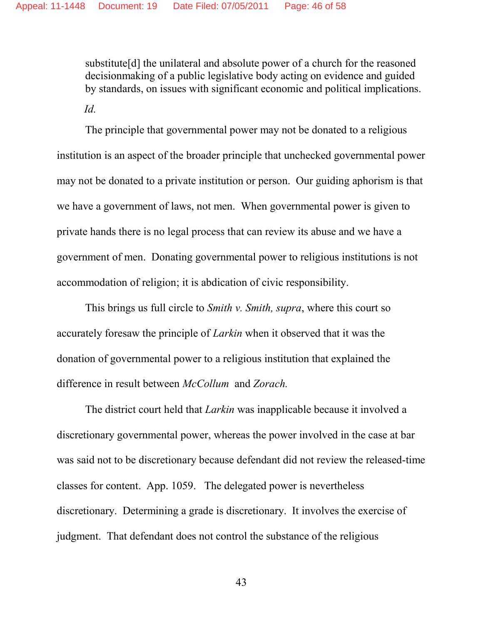substitute[d] the unilateral and absolute power of a church for the reasoned decisionmaking of a public legislative body acting on evidence and guided by standards, on issues with significant economic and political implications.

*Id.*

The principle that governmental power may not be donated to a religious institution is an aspect of the broader principle that unchecked governmental power may not be donated to a private institution or person. Our guiding aphorism is that we have a government of laws, not men. When governmental power is given to private hands there is no legal process that can review its abuse and we have a government of men. Donating governmental power to religious institutions is not accommodation of religion; it is abdication of civic responsibility.

This brings us full circle to *Smith v. Smith, supra*, where this court so accurately foresaw the principle of *Larkin* when it observed that it was the donation of governmental power to a religious institution that explained the difference in result between *McCollum* and *Zorach.*

The district court held that *Larkin* was inapplicable because it involved a discretionary governmental power, whereas the power involved in the case at bar was said not to be discretionary because defendant did not review the released-time classes for content. App. 1059. The delegated power is nevertheless discretionary. Determining a grade is discretionary. It involves the exercise of judgment. That defendant does not control the substance of the religious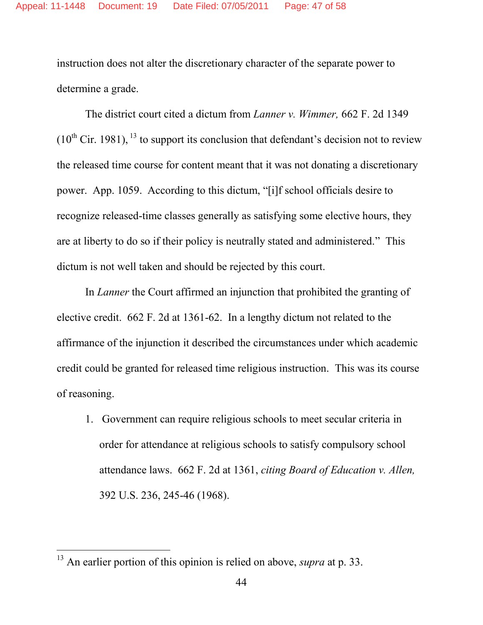instruction does not alter the discretionary character of the separate power to determine a grade.

The district court cited a dictum from *Lanner v. Wimmer,* 662 F. 2d 1349  $(10^{th}$  Cir. 1981), <sup>13</sup> to support its conclusion that defendant's decision not to review the released time course for content meant that it was not donating a discretionary power. App. 1059. According to this dictum, "[i]f school officials desire to recognize released-time classes generally as satisfying some elective hours, they are at liberty to do so if their policy is neutrally stated and administered." This dictum is not well taken and should be rejected by this court.

In *Lanner* the Court affirmed an injunction that prohibited the granting of elective credit. 662 F. 2d at 1361-62. In a lengthy dictum not related to the affirmance of the injunction it described the circumstances under which academic credit could be granted for released time religious instruction. This was its course of reasoning.

1. Government can require religious schools to meet secular criteria in order for attendance at religious schools to satisfy compulsory school attendance laws. 662 F. 2d at 1361, *citing Board of Education v. Allen,* 392 U.S. 236, 245-46 (1968).

<sup>13</sup> An earlier portion of this opinion is relied on above, *supra* at p. 33.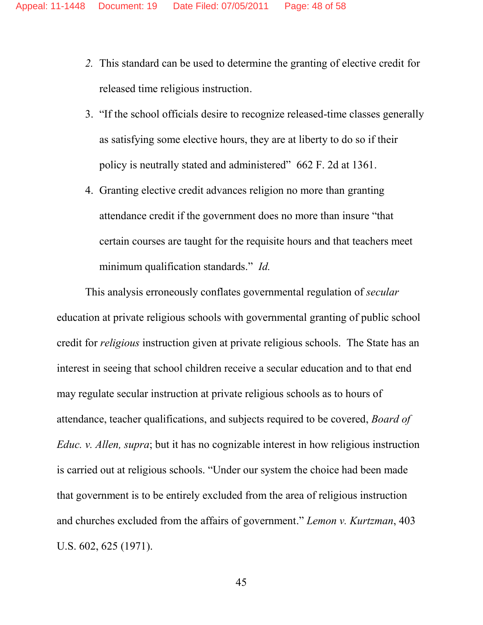- *2.* This standard can be used to determine the granting of elective credit for released time religious instruction.
- 3. "If the school officials desire to recognize released-time classes generally as satisfying some elective hours, they are at liberty to do so if their policy is neutrally stated and administered" 662 F. 2d at 1361.
- 4. Granting elective credit advances religion no more than granting attendance credit if the government does no more than insure "that certain courses are taught for the requisite hours and that teachers meet minimum qualification standards." *Id.*

This analysis erroneously conflates governmental regulation of *secular* education at private religious schools with governmental granting of public school credit for *religious* instruction given at private religious schools. The State has an interest in seeing that school children receive a secular education and to that end may regulate secular instruction at private religious schools as to hours of attendance, teacher qualifications, and subjects required to be covered, *Board of Educ. v. Allen, supra*; but it has no cognizable interest in how religious instruction is carried out at religious schools. "Under our system the choice had been made that government is to be entirely excluded from the area of religious instruction and churches excluded from the affairs of government." *Lemon v. Kurtzman*, 403 U.S. 602, 625 (1971).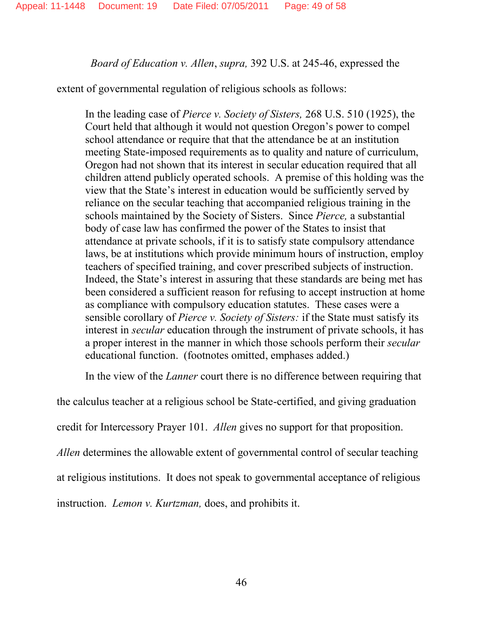*Board of Education v. Allen*, *supra,* 392 U.S. at 245-46, expressed the

extent of governmental regulation of religious schools as follows:

In the leading case of *Pierce v. Society of Sisters,* 268 U.S. 510 (1925), the Court held that although it would not question Oregon's power to compel school attendance or require that that the attendance be at an institution meeting State-imposed requirements as to quality and nature of curriculum, Oregon had not shown that its interest in secular education required that all children attend publicly operated schools. A premise of this holding was the view that the State's interest in education would be sufficiently served by reliance on the secular teaching that accompanied religious training in the schools maintained by the Society of Sisters. Since *Pierce,* a substantial body of case law has confirmed the power of the States to insist that attendance at private schools, if it is to satisfy state compulsory attendance laws, be at institutions which provide minimum hours of instruction, employ teachers of specified training, and cover prescribed subjects of instruction. Indeed, the State's interest in assuring that these standards are being met has been considered a sufficient reason for refusing to accept instruction at home as compliance with compulsory education statutes. These cases were a sensible corollary of *Pierce v. Society of Sisters:* if the State must satisfy its interest in *secular* education through the instrument of private schools, it has a proper interest in the manner in which those schools perform their *secular* educational function. (footnotes omitted, emphases added.)

In the view of the *Lanner* court there is no difference between requiring that

the calculus teacher at a religious school be State-certified, and giving graduation credit for Intercessory Prayer 101. *Allen* gives no support for that proposition. *Allen* determines the allowable extent of governmental control of secular teaching at religious institutions. It does not speak to governmental acceptance of religious instruction. *Lemon v. Kurtzman,* does, and prohibits it.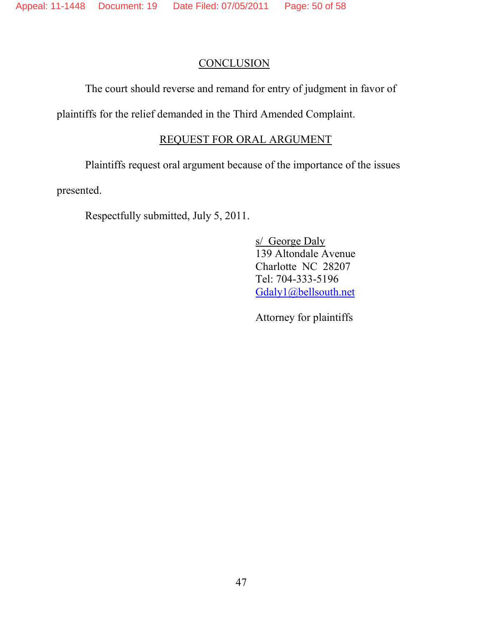### **CONCLUSION**

The court should reverse and remand for entry of judgment in favor of

plaintiffs for the relief demanded in the Third Amended Complaint.

### REQUEST FOR ORAL ARGUMENT

Plaintiffs request oral argument because of the importance of the issues

presented.

Respectfully submitted, July 5, 2011.

s/ George Daly 139 Altondale Avenue Charlotte NC 28207 Tel: 704-333-5196 Gdaly1@bellsouth.net

Attorney for plaintiffs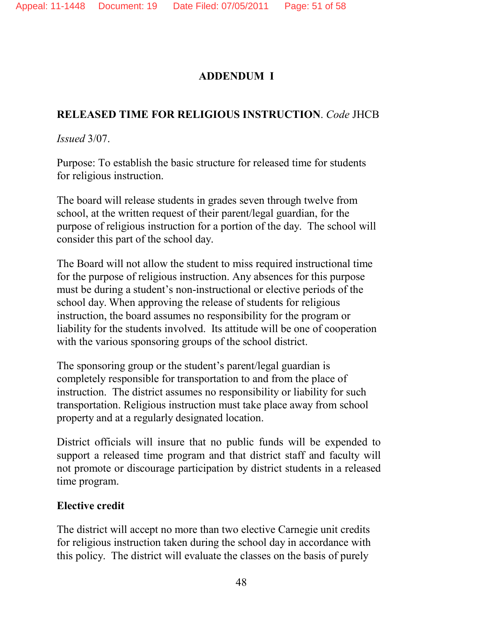## **ADDENDUM I**

# **RELEASED TIME FOR RELIGIOUS INSTRUCTION**. *Code* JHCB

*Issued* 3/07.

Purpose: To establish the basic structure for released time for students for religious instruction.

The board will release students in grades seven through twelve from school, at the written request of their parent/legal guardian, for the purpose of religious instruction for a portion of the day. The school will consider this part of the school day.

The Board will not allow the student to miss required instructional time for the purpose of religious instruction. Any absences for this purpose must be during a student's non-instructional or elective periods of the school day. When approving the release of students for religious instruction, the board assumes no responsibility for the program or liability for the students involved. Its attitude will be one of cooperation with the various sponsoring groups of the school district.

The sponsoring group or the student's parent/legal guardian is completely responsible for transportation to and from the place of instruction. The district assumes no responsibility or liability for such transportation. Religious instruction must take place away from school property and at a regularly designated location.

District officials will insure that no public funds will be expended to support a released time program and that district staff and faculty will not promote or discourage participation by district students in a released time program.

## **Elective credit**

The district will accept no more than two elective Carnegie unit credits for religious instruction taken during the school day in accordance with this policy. The district will evaluate the classes on the basis of purely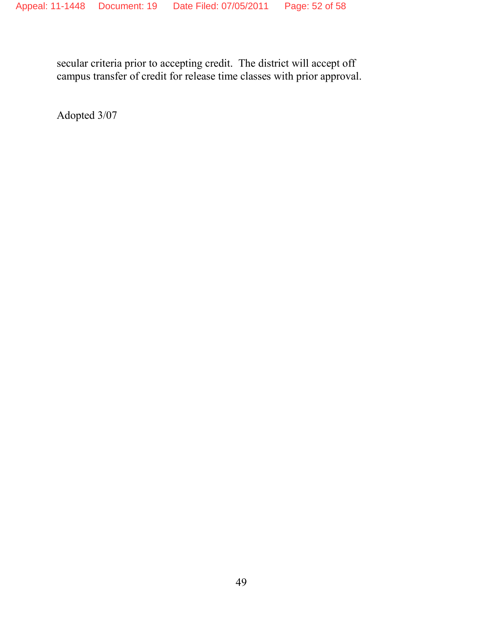secular criteria prior to accepting credit. The district will accept off campus transfer of credit for release time classes with prior approval.

Adopted 3/07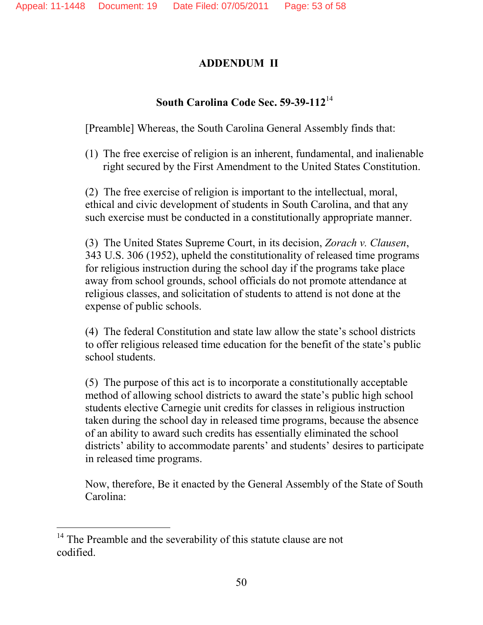### **ADDENDUM II**

## **South Carolina Code Sec. 59-39-112**<sup>14</sup>

[Preamble] Whereas, the South Carolina General Assembly finds that:

(1) The free exercise of religion is an inherent, fundamental, and inalienable right secured by the First Amendment to the United States Constitution.

(2) The free exercise of religion is important to the intellectual, moral, ethical and civic development of students in South Carolina, and that any such exercise must be conducted in a constitutionally appropriate manner.

(3) The United States Supreme Court, in its decision, *Zorach v. Clausen*, 343 U.S. 306 (1952), upheld the constitutionality of released time programs for religious instruction during the school day if the programs take place away from school grounds, school officials do not promote attendance at religious classes, and solicitation of students to attend is not done at the expense of public schools.

(4) The federal Constitution and state law allow the state's school districts to offer religious released time education for the benefit of the state's public school students.

(5) The purpose of this act is to incorporate a constitutionally acceptable method of allowing school districts to award the state's public high school students elective Carnegie unit credits for classes in religious instruction taken during the school day in released time programs, because the absence of an ability to award such credits has essentially eliminated the school districts' ability to accommodate parents' and students' desires to participate in released time programs.

Now, therefore, Be it enacted by the General Assembly of the State of South Carolina:

 $14$  The Preamble and the severability of this statute clause are not codified.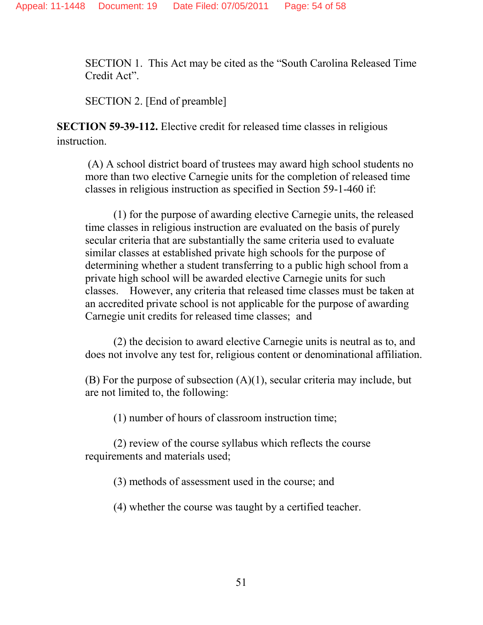SECTION 1. This Act may be cited as the "South Carolina Released Time Credit Act".

SECTION 2. [End of preamble]

**SECTION 59-39-112.** Elective credit for released time classes in religious instruction.

(A) A school district board of trustees may award high school students no more than two elective Carnegie units for the completion of released time classes in religious instruction as specified in Section 59-1-460 if:

(1) for the purpose of awarding elective Carnegie units, the released time classes in religious instruction are evaluated on the basis of purely secular criteria that are substantially the same criteria used to evaluate similar classes at established private high schools for the purpose of determining whether a student transferring to a public high school from a private high school will be awarded elective Carnegie units for such classes. However, any criteria that released time classes must be taken at an accredited private school is not applicable for the purpose of awarding Carnegie unit credits for released time classes; and

(2) the decision to award elective Carnegie units is neutral as to, and does not involve any test for, religious content or denominational affiliation.

(B) For the purpose of subsection  $(A)(1)$ , secular criteria may include, but are not limited to, the following:

(1) number of hours of classroom instruction time;

(2) review of the course syllabus which reflects the course requirements and materials used;

(3) methods of assessment used in the course; and

(4) whether the course was taught by a certified teacher.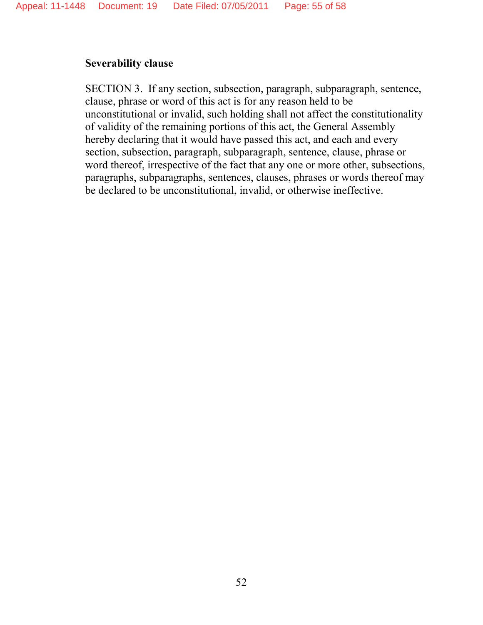### **Severability clause**

SECTION 3. If any section, subsection, paragraph, subparagraph, sentence, clause, phrase or word of this act is for any reason held to be unconstitutional or invalid, such holding shall not affect the constitutionality of validity of the remaining portions of this act, the General Assembly hereby declaring that it would have passed this act, and each and every section, subsection, paragraph, subparagraph, sentence, clause, phrase or word thereof, irrespective of the fact that any one or more other, subsections, paragraphs, subparagraphs, sentences, clauses, phrases or words thereof may be declared to be unconstitutional, invalid, or otherwise ineffective.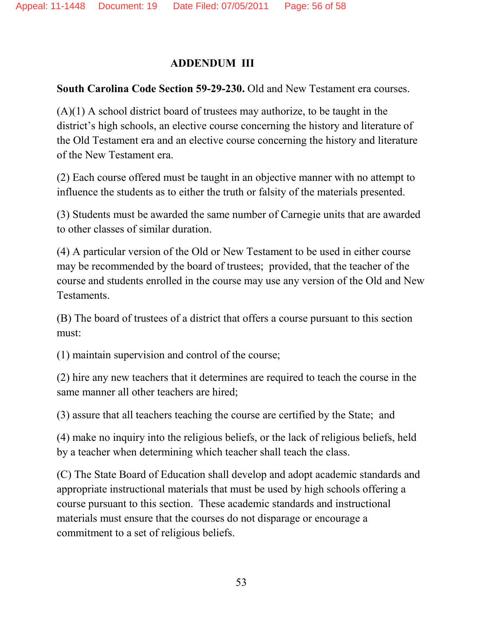### **ADDENDUM III**

### **South Carolina Code Section 59-29-230.** Old and New Testament era courses.

 $(A)(1)$  A school district board of trustees may authorize, to be taught in the district's high schools, an elective course concerning the history and literature of the Old Testament era and an elective course concerning the history and literature of the New Testament era.

(2) Each course offered must be taught in an objective manner with no attempt to influence the students as to either the truth or falsity of the materials presented.

(3) Students must be awarded the same number of Carnegie units that are awarded to other classes of similar duration.

(4) A particular version of the Old or New Testament to be used in either course may be recommended by the board of trustees; provided, that the teacher of the course and students enrolled in the course may use any version of the Old and New Testaments.

(B) The board of trustees of a district that offers a course pursuant to this section must:

(1) maintain supervision and control of the course;

(2) hire any new teachers that it determines are required to teach the course in the same manner all other teachers are hired;

(3) assure that all teachers teaching the course are certified by the State; and

(4) make no inquiry into the religious beliefs, or the lack of religious beliefs, held by a teacher when determining which teacher shall teach the class.

(C) The State Board of Education shall develop and adopt academic standards and appropriate instructional materials that must be used by high schools offering a course pursuant to this section. These academic standards and instructional materials must ensure that the courses do not disparage or encourage a commitment to a set of religious beliefs.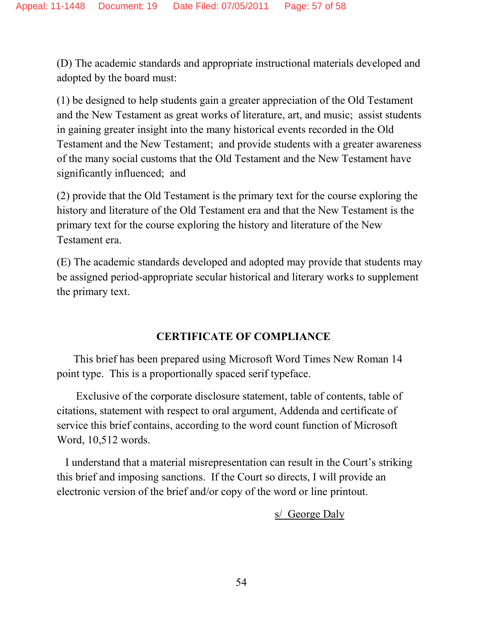(D) The academic standards and appropriate instructional materials developed and adopted by the board must:

(1) be designed to help students gain a greater appreciation of the Old Testament and the New Testament as great works of literature, art, and music; assist students in gaining greater insight into the many historical events recorded in the Old Testament and the New Testament; and provide students with a greater awareness of the many social customs that the Old Testament and the New Testament have significantly influenced; and

(2) provide that the Old Testament is the primary text for the course exploring the history and literature of the Old Testament era and that the New Testament is the primary text for the course exploring the history and literature of the New Testament era.

(E) The academic standards developed and adopted may provide that students may be assigned period-appropriate secular historical and literary works to supplement the primary text.

## **CERTIFICATE OF COMPLIANCE**

This brief has been prepared using Microsoft Word Times New Roman 14 point type. This is a proportionally spaced serif typeface.

Exclusive of the corporate disclosure statement, table of contents, table of citations, statement with respect to oral argument, Addenda and certificate of service this brief contains, according to the word count function of Microsoft Word, 10,512 words.

I understand that a material misrepresentation can result in the Court's striking this brief and imposing sanctions. If the Court so directs, I will provide an electronic version of the brief and/or copy of the word or line printout.

s/ George Daly